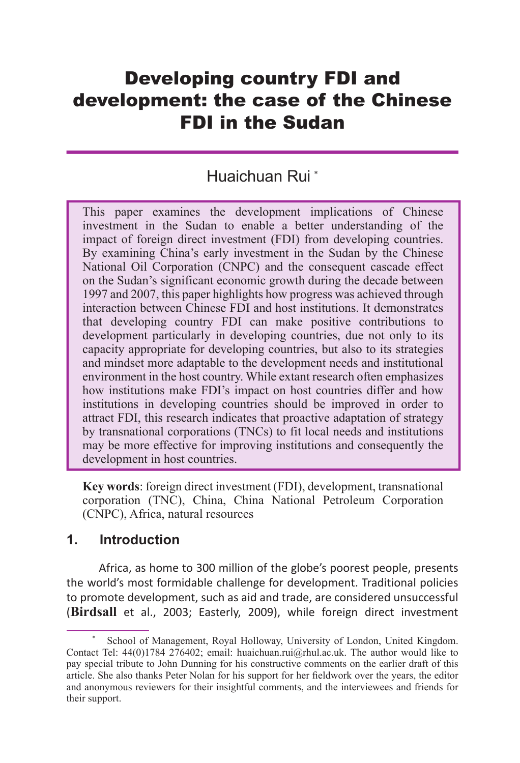# Developing country FDI and development: the case of the Chinese FDI in the Sudan

## Huaichuan Rui \*

This paper examines the development implications of Chinese investment in the Sudan to enable a better understanding of the impact of foreign direct investment (FDI) from developing countries. By examining China's early investment in the Sudan by the Chinese National Oil Corporation (CNPC) and the consequent cascade effect on the Sudan's significant economic growth during the decade between 1997 and 2007, this paper highlights how progress was achieved through interaction between Chinese FDI and host institutions. It demonstrates that developing country FDI can make positive contributions to development particularly in developing countries, due not only to its capacity appropriate for developing countries, but also to its strategies and mindset more adaptable to the development needs and institutional environment in the host country. While extant research often emphasizes how institutions make FDI's impact on host countries differ and how institutions in developing countries should be improved in order to attract FDI, this research indicates that proactive adaptation of strategy by transnational corporations (TNCs) to fit local needs and institutions may be more effective for improving institutions and consequently the development in host countries.

**Key words**: foreign direct investment (FDI), development, transnational corporation (TNC), China, China National Petroleum Corporation (CNPC), Africa, natural resources

#### **1. Introduction**

Africa, as home to 300 million of the globe's poorest people, presents the world's most formidable challenge for development. Traditional policies to promote development, such as aid and trade, are considered unsuccessful (**Birdsall** et al., 2003; Easterly, 2009), while foreign direct investment

<sup>\*</sup> School of Management, Royal Holloway, University of London, United Kingdom. Contact Tel: 44(0)1784 276402; email: huaichuan.rui@rhul.ac.uk. The author would like to pay special tribute to John Dunning for his constructive comments on the earlier draft of this article. She also thanks Peter Nolan for his support for her fieldwork over the years, the editor and anonymous reviewers for their insightful comments, and the interviewees and friends for their support.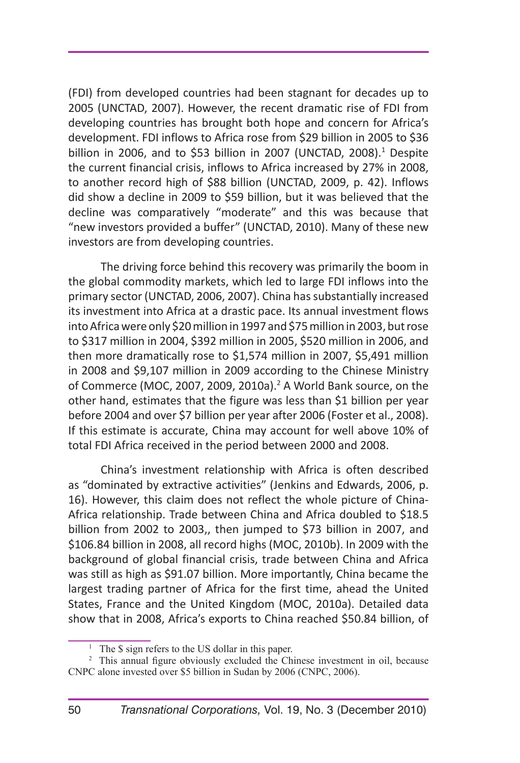(FDI) from developed countries had been stagnant for decades up to 2005 (UNCTAD, 2007). However, the recent dramatic rise of FDI from developing countries has brought both hope and concern for Africa's development. FDI inflows to Africa rose from \$29 billion in 2005 to \$36 billion in 2006, and to \$53 billion in 2007 (UNCTAD, 2008). $1$  Despite the current financial crisis, inflows to Africa increased by 27% in 2008, to another record high of \$88 billion (UNCTAD, 2009, p. 42). Inflows did show a decline in 2009 to \$59 billion, but it was believed that the decline was comparatively "moderate" and this was because that "new investors provided a buffer" (UNCTAD, 2010). Many of these new investors are from developing countries.

The driving force behind this recovery was primarily the boom in the global commodity markets, which led to large FDI inflows into the primary sector (UNCTAD, 2006, 2007). China has substantially increased its investment into Africa at a drastic pace. Its annual investment flows into Africa were only \$20 million in 1997 and \$75 million in 2003, but rose to \$317 million in 2004, \$392 million in 2005, \$520 million in 2006, and then more dramatically rose to \$1,574 million in 2007, \$5,491 million in 2008 and \$9,107 million in 2009 according to the Chinese Ministry of Commerce (MOC, 2007, 2009, 2010a). $<sup>2</sup>$  A World Bank source, on the</sup> other hand, estimates that the figure was less than \$1 billion per year before 2004 and over \$7 billion per year after 2006 (Foster et al., 2008). If this estimate is accurate, China may account for well above 10% of total FDI Africa received in the period between 2000 and 2008.

China's investment relationship with Africa is often described as "dominated by extractive activities" (Jenkins and Edwards, 2006, p. 16). However, this claim does not reflect the whole picture of China-Africa relationship. Trade between China and Africa doubled to \$18.5 billion from 2002 to 2003,, then jumped to \$73 billion in 2007, and \$106.84 billion in 2008, all record highs (MOC, 2010b). In 2009 with the background of global financial crisis, trade between China and Africa was still as high as \$91.07 billion. More importantly, China became the largest trading partner of Africa for the first time, ahead the United States, France and the United Kingdom (MOC, 2010a). Detailed data show that in 2008, Africa's exports to China reached \$50.84 billion, of

<sup>&</sup>lt;sup>1</sup> The \$ sign refers to the US dollar in this paper.

<sup>&</sup>lt;sup>2</sup> This annual figure obviously excluded the Chinese investment in oil, because CNPC alone invested over \$5 billion in Sudan by 2006 (CNPC, 2006).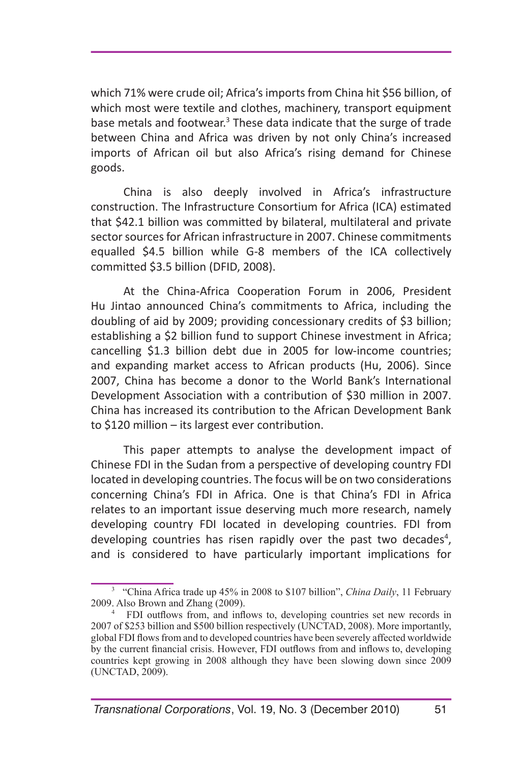which 71% were crude oil; Africa's imports from China hit \$56 billion, of which most were textile and clothes, machinery, transport equipment base metals and footwear.<sup>3</sup> These data indicate that the surge of trade between China and Africa was driven by not only China's increased imports of African oil but also Africa's rising demand for Chinese goods.

China is also deeply involved in Africa's infrastructure construction. The Infrastructure Consortium for Africa (ICA) estimated that \$42.1 billion was committed by bilateral, multilateral and private sector sources for African infrastructure in 2007. Chinese commitments equalled \$4.5 billion while G-8 members of the ICA collectively committed \$3.5 billion (DFID, 2008).

At the China-Africa Cooperation Forum in 2006, President Hu Jintao announced China's commitments to Africa, including the doubling of aid by 2009; providing concessionary credits of \$3 billion; establishing a \$2 billion fund to support Chinese investment in Africa; cancelling \$1.3 billion debt due in 2005 for low-income countries; and expanding market access to African products (Hu, 2006). Since 2007, China has become a donor to the World Bank's International Development Association with a contribution of \$30 million in 2007. China has increased its contribution to the African Development Bank to \$120 million – its largest ever contribution.

This paper attempts to analyse the development impact of Chinese FDI in the Sudan from a perspective of developing country FDI located in developing countries. The focus will be on two considerations concerning China's FDI in Africa. One is that China's FDI in Africa relates to an important issue deserving much more research, namely developing country FDI located in developing countries. FDI from developing countries has risen rapidly over the past two decades<sup>4</sup>, and is considered to have particularly important implications for

<sup>3</sup> "China Africa trade up 45% in 2008 to \$107 billion", *China Daily*, 11 February 2009. Also Brown and Zhang (2009).

<sup>&</sup>lt;sup>4</sup> FDI outflows from, and inflows to, developing countries set new records in 2007 of \$253 billion and \$500 billion respectively (UNCTAD, 2008). More importantly, global FDI flows from and to developed countries have been severely affected worldwide by the current financial crisis. However, FDI outflows from and inflows to, developing countries kept growing in 2008 although they have been slowing down since 2009 (UNCTAD, 2009).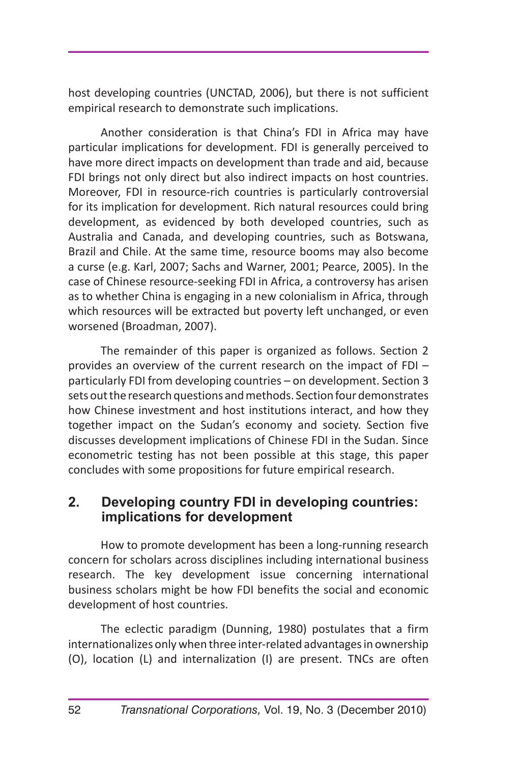host developing countries (UNCTAD, 2006), but there is not sufficient empirical research to demonstrate such implications.

Another consideration is that China's FDI in Africa may have particular implications for development. FDI is generally perceived to have more direct impacts on development than trade and aid, because FDI brings not only direct but also indirect impacts on host countries. Moreover, FDI in resource-rich countries is particularly controversial for its implication for development. Rich natural resources could bring development, as evidenced by both developed countries, such as Australia and Canada, and developing countries, such as Botswana, Brazil and Chile. At the same time, resource booms may also become a curse (e.g. Karl, 2007; Sachs and Warner, 2001; Pearce, 2005). In the case of Chinese resource-seeking FDI in Africa, a controversy has arisen as to whether China is engaging in a new colonialism in Africa, through which resources will be extracted but poverty left unchanged, or even worsened (Broadman, 2007).

The remainder of this paper is organized as follows. Section 2 provides an overview of the current research on the impact of FDI – particularly FDI from developing countries – on development. Section 3 sets out the research questions and methods. Section four demonstrates how Chinese investment and host institutions interact, and how they together impact on the Sudan's economy and society. Section five discusses development implications of Chinese FDI in the Sudan. Since econometric testing has not been possible at this stage, this paper concludes with some propositions for future empirical research.

#### **2. Developing country FDI in developing countries: implications for development**

How to promote development has been a long-running research concern for scholars across disciplines including international business research. The key development issue concerning international business scholars might be how FDI benefits the social and economic development of host countries.

The eclectic paradigm (Dunning, 1980) postulates that a firm internationalizes only when three inter-related advantages in ownership (O), location (L) and internalization (I) are present. TNCs are often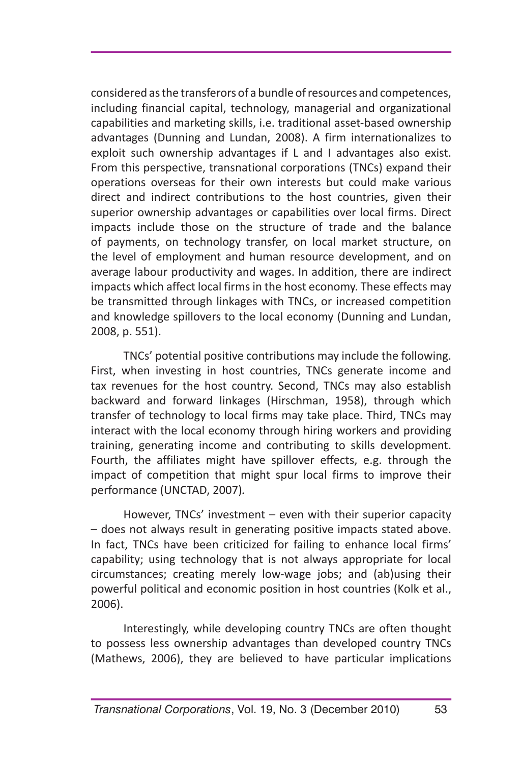considered as the transferors of a bundle of resources and competences, including financial capital, technology, managerial and organizational capabilities and marketing skills, i.e. traditional asset-based ownership advantages (Dunning and Lundan, 2008). A firm internationalizes to exploit such ownership advantages if L and I advantages also exist. From this perspective, transnational corporations (TNCs) expand their operations overseas for their own interests but could make various direct and indirect contributions to the host countries, given their superior ownership advantages or capabilities over local firms. Direct impacts include those on the structure of trade and the balance of payments, on technology transfer, on local market structure, on the level of employment and human resource development, and on average labour productivity and wages. In addition, there are indirect impacts which affect local firms in the host economy. These effects may be transmitted through linkages with TNCs, or increased competition and knowledge spillovers to the local economy (Dunning and Lundan, 2008, p. 551).

TNCs' potential positive contributions may include the following. First, when investing in host countries, TNCs generate income and tax revenues for the host country. Second, TNCs may also establish backward and forward linkages (Hirschman, 1958), through which transfer of technology to local firms may take place. Third, TNCs may interact with the local economy through hiring workers and providing training, generating income and contributing to skills development. Fourth, the affiliates might have spillover effects, e.g. through the impact of competition that might spur local firms to improve their performance (UNCTAD, 2007)*.* 

However, TNCs' investment – even with their superior capacity – does not always result in generating positive impacts stated above. In fact, TNCs have been criticized for failing to enhance local firms' capability; using technology that is not always appropriate for local circumstances; creating merely low-wage jobs; and (ab)using their powerful political and economic position in host countries (Kolk et al., 2006).

Interestingly, while developing country TNCs are often thought to possess less ownership advantages than developed country TNCs (Mathews, 2006), they are believed to have particular implications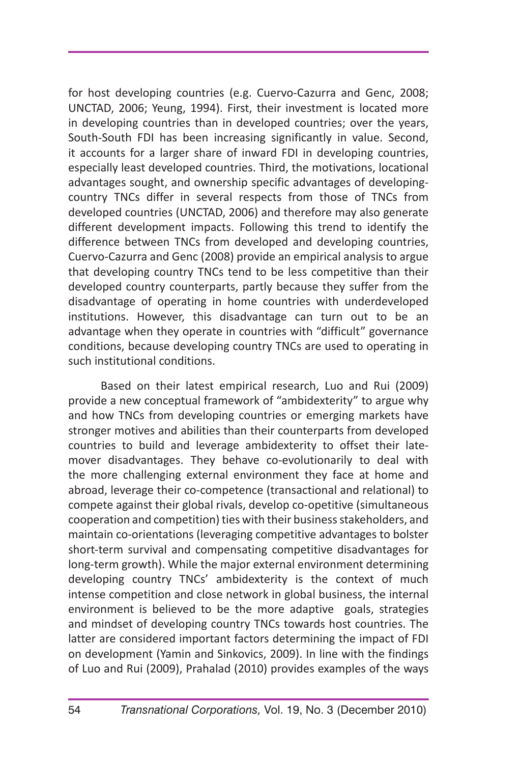for host developing countries (e.g. Cuervo-Cazurra and Genc, 2008; UNCTAD, 2006; Yeung, 1994). First, their investment is located more in developing countries than in developed countries; over the years, South-South FDI has been increasing significantly in value. Second, it accounts for a larger share of inward FDI in developing countries, especially least developed countries. Third, the motivations, locational advantages sought, and ownership specific advantages of developingcountry TNCs differ in several respects from those of TNCs from developed countries (UNCTAD, 2006) and therefore may also generate different development impacts. Following this trend to identify the difference between TNCs from developed and developing countries, Cuervo-Cazurra and Genc (2008) provide an empirical analysis to argue that developing country TNCs tend to be less competitive than their developed country counterparts, partly because they suffer from the disadvantage of operating in home countries with underdeveloped institutions. However, this disadvantage can turn out to be an advantage when they operate in countries with "difficult" governance conditions, because developing country TNCs are used to operating in such institutional conditions.

Based on their latest empirical research, Luo and Rui (2009) provide a new conceptual framework of "ambidexterity" to argue why and how TNCs from developing countries or emerging markets have stronger motives and abilities than their counterparts from developed countries to build and leverage ambidexterity to offset their latemover disadvantages. They behave co-evolutionarily to deal with the more challenging external environment they face at home and abroad, leverage their co-competence (transactional and relational) to compete against their global rivals, develop co-opetitive (simultaneous cooperation and competition) ties with their business stakeholders, and maintain co-orientations (leveraging competitive advantages to bolster short-term survival and compensating competitive disadvantages for long-term growth). While the major external environment determining developing country TNCs' ambidexterity is the context of much intense competition and close network in global business, the internal environment is believed to be the more adaptive goals, strategies and mindset of developing country TNCs towards host countries. The latter are considered important factors determining the impact of FDI on development (Yamin and Sinkovics, 2009). In line with the findings of Luo and Rui (2009), Prahalad (2010) provides examples of the ways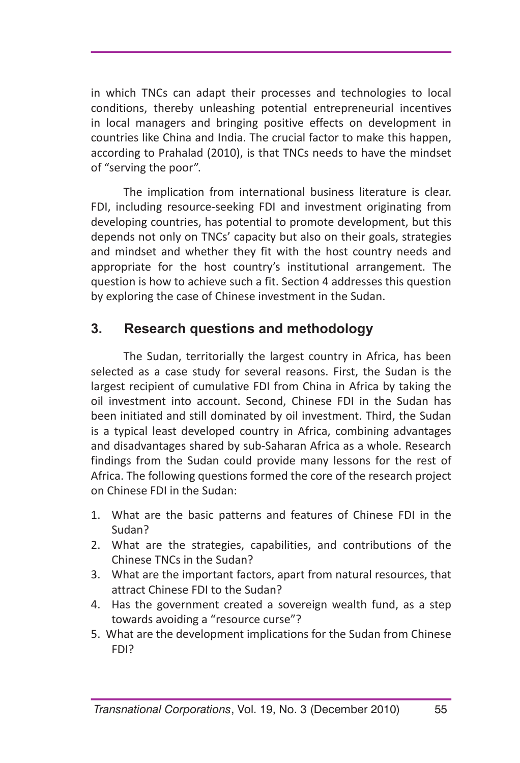in which TNCs can adapt their processes and technologies to local conditions, thereby unleashing potential entrepreneurial incentives in local managers and bringing positive effects on development in countries like China and India. The crucial factor to make this happen, according to Prahalad (2010), is that TNCs needs to have the mindset of "serving the poor".

The implication from international business literature is clear. FDI, including resource-seeking FDI and investment originating from developing countries, has potential to promote development, but this depends not only on TNCs' capacity but also on their goals, strategies and mindset and whether they fit with the host country needs and appropriate for the host country's institutional arrangement. The question is how to achieve such a fit. Section 4 addresses this question by exploring the case of Chinese investment in the Sudan.

### **3. Research questions and methodology**

The Sudan, territorially the largest country in Africa, has been selected as a case study for several reasons. First, the Sudan is the largest recipient of cumulative FDI from China in Africa by taking the oil investment into account. Second, Chinese FDI in the Sudan has been initiated and still dominated by oil investment. Third, the Sudan is a typical least developed country in Africa, combining advantages and disadvantages shared by sub-Saharan Africa as a whole. Research findings from the Sudan could provide many lessons for the rest of Africa. The following questions formed the core of the research project on Chinese FDI in the Sudan:

- 1. What are the basic patterns and features of Chinese FDI in the Sudan?
- 2. What are the strategies, capabilities, and contributions of the Chinese TNCs in the Sudan?
- 3. What are the important factors, apart from natural resources, that attract Chinese FDI to the Sudan?
- 4. Has the government created a sovereign wealth fund, as a step towards avoiding a "resource curse"?
- 5. What are the development implications for the Sudan from Chinese FDI?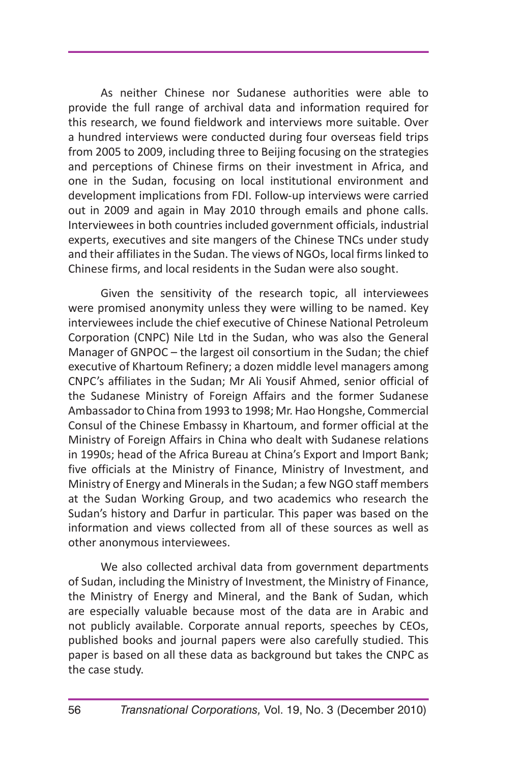As neither Chinese nor Sudanese authorities were able to provide the full range of archival data and information required for this research, we found fieldwork and interviews more suitable. Over a hundred interviews were conducted during four overseas field trips from 2005 to 2009, including three to Beijing focusing on the strategies and perceptions of Chinese firms on their investment in Africa, and one in the Sudan, focusing on local institutional environment and development implications from FDI. Follow-up interviews were carried out in 2009 and again in May 2010 through emails and phone calls. Interviewees in both countries included government officials, industrial experts, executives and site mangers of the Chinese TNCs under study and their affiliates in the Sudan. The views of NGOs, local firms linked to Chinese firms, and local residents in the Sudan were also sought.

Given the sensitivity of the research topic, all interviewees were promised anonymity unless they were willing to be named. Key interviewees include the chief executive of Chinese National Petroleum Corporation (CNPC) Nile Ltd in the Sudan, who was also the General Manager of GNPOC – the largest oil consortium in the Sudan; the chief executive of Khartoum Refinery; a dozen middle level managers among CNPC's affiliates in the Sudan; Mr Ali Yousif Ahmed, senior official of the Sudanese Ministry of Foreign Affairs and the former Sudanese Ambassador to China from 1993 to 1998; Mr. Hao Hongshe, Commercial Consul of the Chinese Embassy in Khartoum, and former official at the Ministry of Foreign Affairs in China who dealt with Sudanese relations in 1990s; head of the Africa Bureau at China's Export and Import Bank; five officials at the Ministry of Finance, Ministry of Investment, and Ministry of Energy and Minerals in the Sudan; a few NGO staff members at the Sudan Working Group, and two academics who research the Sudan's history and Darfur in particular. This paper was based on the information and views collected from all of these sources as well as other anonymous interviewees.

We also collected archival data from government departments of Sudan, including the Ministry of Investment, the Ministry of Finance, the Ministry of Energy and Mineral, and the Bank of Sudan, which are especially valuable because most of the data are in Arabic and not publicly available. Corporate annual reports, speeches by CEOs, published books and journal papers were also carefully studied. This paper is based on all these data as background but takes the CNPC as the case study.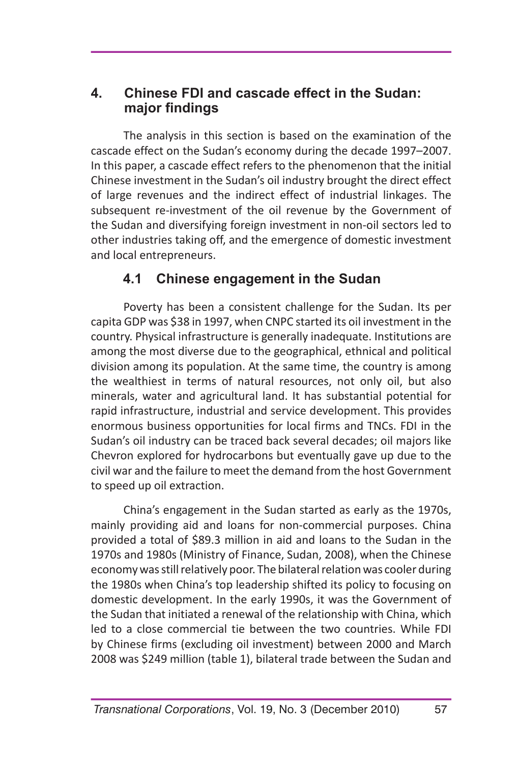### **4. Chinese FDI and cascade effect in the Sudan: major findings**

The analysis in this section is based on the examination of the cascade effect on the Sudan's economy during the decade 1997–2007. In this paper, a cascade effect refers to the phenomenon that the initial Chinese investment in the Sudan's oil industry brought the direct effect of large revenues and the indirect effect of industrial linkages. The subsequent re-investment of the oil revenue by the Government of the Sudan and diversifying foreign investment in non-oil sectors led to other industries taking off, and the emergence of domestic investment and local entrepreneurs.

## **4.1 Chinese engagement in the Sudan**

Poverty has been a consistent challenge for the Sudan. Its per capita GDP was \$38 in 1997, when CNPC started its oil investment in the country. Physical infrastructure is generally inadequate. Institutions are among the most diverse due to the geographical, ethnical and political division among its population. At the same time, the country is among the wealthiest in terms of natural resources, not only oil, but also minerals, water and agricultural land. It has substantial potential for rapid infrastructure, industrial and service development. This provides enormous business opportunities for local firms and TNCs. FDI in the Sudan's oil industry can be traced back several decades; oil majors like Chevron explored for hydrocarbons but eventually gave up due to the civil war and the failure to meet the demand from the host Government to speed up oil extraction.

China's engagement in the Sudan started as early as the 1970s, mainly providing aid and loans for non-commercial purposes. China provided a total of \$89.3 million in aid and loans to the Sudan in the 1970s and 1980s (Ministry of Finance, Sudan, 2008), when the Chinese economy was still relatively poor. The bilateral relation was cooler during the 1980s when China's top leadership shifted its policy to focusing on domestic development. In the early 1990s, it was the Government of the Sudan that initiated a renewal of the relationship with China, which led to a close commercial tie between the two countries. While FDI by Chinese firms (excluding oil investment) between 2000 and March 2008 was \$249 million (table 1), bilateral trade between the Sudan and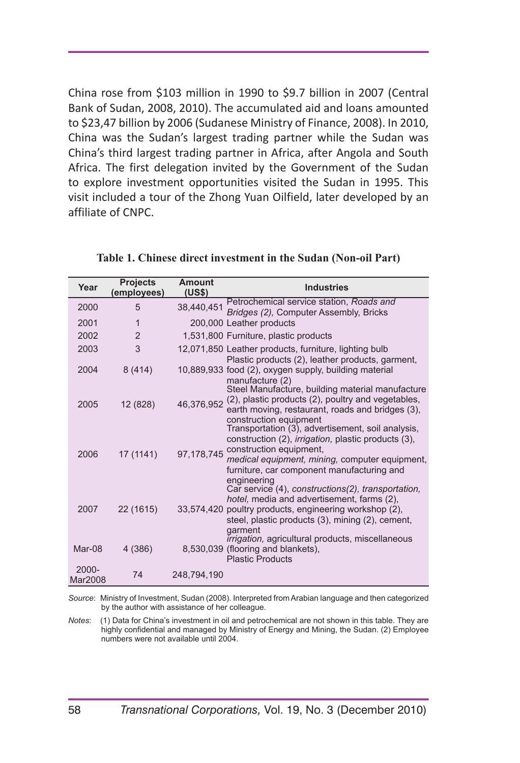China rose from \$103 million in 1990 to \$9.7 billion in 2007 (Central Bank of Sudan, 2008, 2010). The accumulated aid and loans amounted to \$23,47 billion by 2006 (Sudanese Ministry of Finance, 2008). In 2010, China was the Sudan's largest trading partner while the Sudan was China's third largest trading partner in Africa, after Angola and South Africa. The first delegation invited by the Government of the Sudan to explore investment opportunities visited the Sudan in 1995. This visit included a tour of the Zhong Yuan Oilfield, later developed by an affiliate of CNPC.

| Year             | <b>Projects</b><br>(employees) | Amount<br>(US\$) | <b>Industries</b>                                                                                                                                                                                                                                                                     |
|------------------|--------------------------------|------------------|---------------------------------------------------------------------------------------------------------------------------------------------------------------------------------------------------------------------------------------------------------------------------------------|
| 2000             | 5                              | 38.440.451       | Petrochemical service station, Roads and<br>Bridges (2), Computer Assembly, Bricks                                                                                                                                                                                                    |
| 2001             | 1                              |                  | 200,000 Leather products                                                                                                                                                                                                                                                              |
| 2002             | $\overline{2}$                 |                  | 1,531,800 Furniture, plastic products                                                                                                                                                                                                                                                 |
| 2003             | 3                              |                  | 12,071,850 Leather products, furniture, lighting bulb<br>Plastic products (2), leather products, garment,                                                                                                                                                                             |
| 2004             | 8(414)                         |                  | 10,889,933 food (2), oxygen supply, building material<br>manufacture (2)<br>Steel Manufacture, building material manufacture                                                                                                                                                          |
| 2005             | 12 (828)                       | 46,376,952       | (2), plastic products (2), poultry and vegetables,<br>earth moving, restaurant, roads and bridges (3),<br>construction equipment<br>Transportation (3), advertisement, soil analysis,                                                                                                 |
| 2006             | 17 (1141)                      |                  | construction (2), <i>irrigation</i> , plastic products (3),<br>97,178,745 construction equipment,<br>medical equipment, mining, computer equipment,<br>furniture, car component manufacturing and<br>engineering                                                                      |
| 2007             | 22 (1615)                      |                  | Car service (4), constructions(2), transportation,<br>hotel, media and advertisement, farms (2),<br>33,574,420 poultry products, engineering workshop (2),<br>steel, plastic products (3), mining (2), cement,<br>garment<br><i>Irrigation</i> , agricultural products, miscellaneous |
| Mar-08           | 4 (386)                        |                  | 8,530,039 (flooring and blankets),<br><b>Plastic Products</b>                                                                                                                                                                                                                         |
| 2000-<br>Mar2008 | 74                             | 248,794,190      |                                                                                                                                                                                                                                                                                       |

|  |  |  | Table 1. Chinese direct investment in the Sudan (Non-oil Part) |  |  |  |  |
|--|--|--|----------------------------------------------------------------|--|--|--|--|
|--|--|--|----------------------------------------------------------------|--|--|--|--|

*Source*: Ministry of Investment, Sudan (2008). Interpreted from Arabian language and then categorized by the author with assistance of her colleague.

*Notes*: (1) Data for China's investment in oil and petrochemical are not shown in this table. They are highly confidential and managed by Ministry of Energy and Mining, the Sudan. (2) Employee numbers were not available until 2004.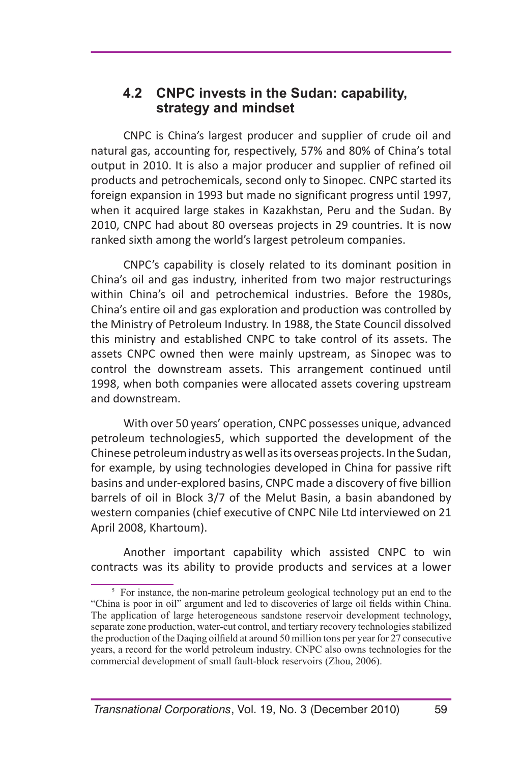#### **4.2 CNPC invests in the Sudan: capability, strategy and mindset**

CNPC is China's largest producer and supplier of crude oil and natural gas, accounting for, respectively, 57% and 80% of China's total output in 2010. It is also a major producer and supplier of refined oil products and petrochemicals, second only to Sinopec. CNPC started its foreign expansion in 1993 but made no significant progress until 1997, when it acquired large stakes in Kazakhstan, Peru and the Sudan. By 2010, CNPC had about 80 overseas projects in 29 countries. It is now ranked sixth among the world's largest petroleum companies.

CNPC's capability is closely related to its dominant position in China's oil and gas industry, inherited from two major restructurings within China's oil and petrochemical industries. Before the 1980s, China's entire oil and gas exploration and production was controlled by the Ministry of Petroleum Industry. In 1988, the State Council dissolved this ministry and established CNPC to take control of its assets. The assets CNPC owned then were mainly upstream, as Sinopec was to control the downstream assets. This arrangement continued until 1998, when both companies were allocated assets covering upstream and downstream.

With over 50 years' operation, CNPC possesses unique, advanced petroleum technologies5, which supported the development of the Chinese petroleum industry as well as its overseas projects. In the Sudan, for example, by using technologies developed in China for passive rift basins and under-explored basins, CNPC made a discovery of five billion barrels of oil in Block 3/7 of the Melut Basin, a basin abandoned by western companies (chief executive of CNPC Nile Ltd interviewed on 21 April 2008, Khartoum).

Another important capability which assisted CNPC to win contracts was its ability to provide products and services at a lower

<sup>&</sup>lt;sup>5</sup> For instance, the non-marine petroleum geological technology put an end to the "China is poor in oil" argument and led to discoveries of large oil fields within China. The application of large heterogeneous sandstone reservoir development technology, separate zone production, water-cut control, and tertiary recovery technologies stabilized the production of the Daqing oilfield at around 50 million tons per year for 27 consecutive years, a record for the world petroleum industry. CNPC also owns technologies for the commercial development of small fault-block reservoirs (Zhou, 2006).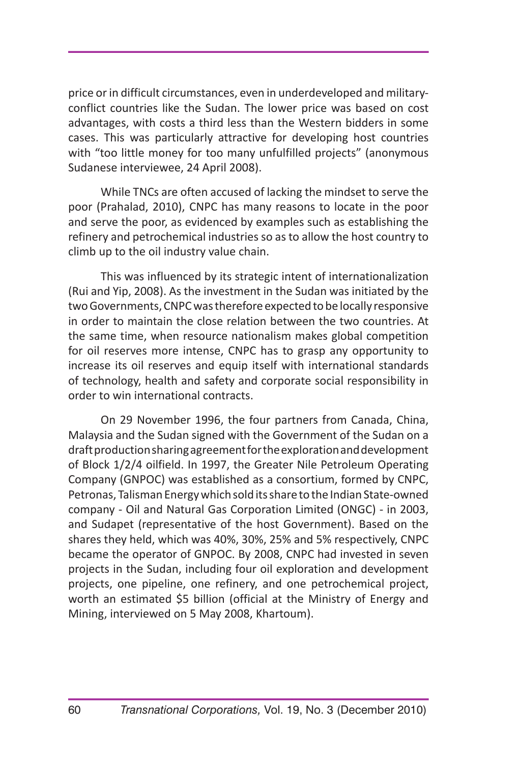price or in difficult circumstances, even in underdeveloped and militaryconflict countries like the Sudan. The lower price was based on cost advantages, with costs a third less than the Western bidders in some cases. This was particularly attractive for developing host countries with "too little money for too many unfulfilled projects" (anonymous Sudanese interviewee, 24 April 2008).

While TNCs are often accused of lacking the mindset to serve the poor (Prahalad, 2010), CNPC has many reasons to locate in the poor and serve the poor, as evidenced by examples such as establishing the refinery and petrochemical industries so as to allow the host country to climb up to the oil industry value chain.

This was influenced by its strategic intent of internationalization (Rui and Yip, 2008). As the investment in the Sudan was initiated by the two Governments, CNPC was therefore expected to be locally responsive in order to maintain the close relation between the two countries. At the same time, when resource nationalism makes global competition for oil reserves more intense, CNPC has to grasp any opportunity to increase its oil reserves and equip itself with international standards of technology, health and safety and corporate social responsibility in order to win international contracts.

On 29 November 1996, the four partners from Canada, China, Malaysia and the Sudan signed with the Government of the Sudan on a draft production sharing agreement for the exploration and development of Block 1/2/4 oilfield. In 1997, the Greater Nile Petroleum Operating Company (GNPOC) was established as a consortium, formed by CNPC, Petronas, Talisman Energy which sold its share to the Indian State-owned company - Oil and Natural Gas Corporation Limited (ONGC) - in 2003, and Sudapet (representative of the host Government). Based on the shares they held, which was 40%, 30%, 25% and 5% respectively, CNPC became the operator of GNPOC. By 2008, CNPC had invested in seven projects in the Sudan, including four oil exploration and development projects, one pipeline, one refinery, and one petrochemical project, worth an estimated \$5 billion (official at the Ministry of Energy and Mining, interviewed on 5 May 2008, Khartoum).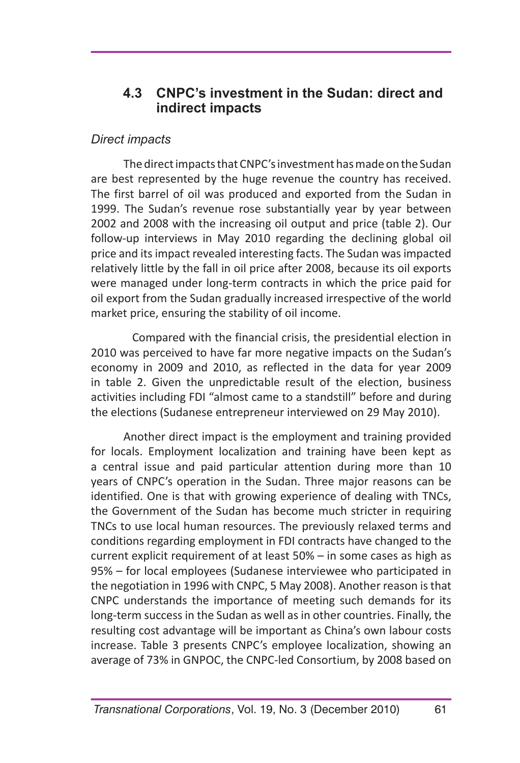### **4.3 CNPC's investment in the Sudan: direct and indirect impacts**

#### *Direct impacts*

The direct impacts that CNPC's investment has made on the Sudan are best represented by the huge revenue the country has received. The first barrel of oil was produced and exported from the Sudan in 1999. The Sudan's revenue rose substantially year by year between 2002 and 2008 with the increasing oil output and price (table 2). Our follow-up interviews in May 2010 regarding the declining global oil price and its impact revealed interesting facts. The Sudan was impacted relatively little by the fall in oil price after 2008, because its oil exports were managed under long-term contracts in which the price paid for oil export from the Sudan gradually increased irrespective of the world market price, ensuring the stability of oil income.

Compared with the financial crisis, the presidential election in 2010 was perceived to have far more negative impacts on the Sudan's economy in 2009 and 2010, as reflected in the data for year 2009 in table 2. Given the unpredictable result of the election, business activities including FDI "almost came to a standstill" before and during the elections (Sudanese entrepreneur interviewed on 29 May 2010).

Another direct impact is the employment and training provided for locals. Employment localization and training have been kept as a central issue and paid particular attention during more than 10 years of CNPC's operation in the Sudan. Three major reasons can be identified. One is that with growing experience of dealing with TNCs, the Government of the Sudan has become much stricter in requiring TNCs to use local human resources. The previously relaxed terms and conditions regarding employment in FDI contracts have changed to the current explicit requirement of at least 50% – in some cases as high as 95% – for local employees (Sudanese interviewee who participated in the negotiation in 1996 with CNPC, 5 May 2008). Another reason is that CNPC understands the importance of meeting such demands for its long-term success in the Sudan as well as in other countries. Finally, the resulting cost advantage will be important as China's own labour costs increase. Table 3 presents CNPC's employee localization, showing an average of 73% in GNPOC, the CNPC-led Consortium, by 2008 based on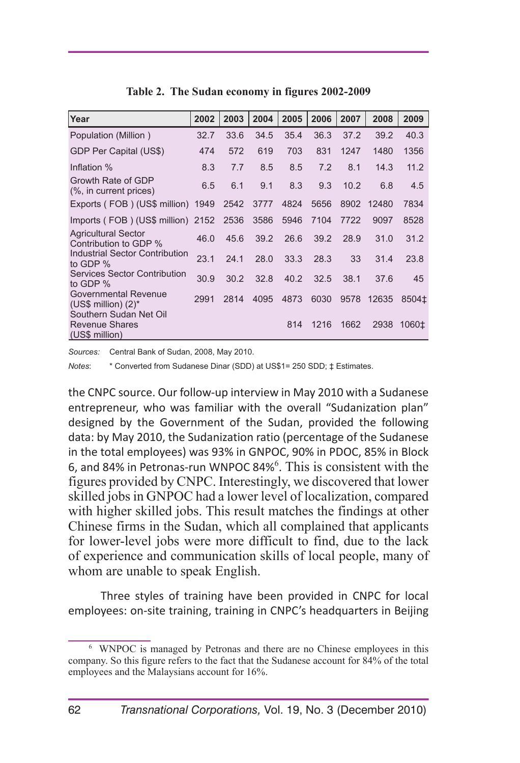| Year                                                              | 2002 | 2003 | 2004 | 2005 | 2006 | 2007 | 2008  | 2009              |
|-------------------------------------------------------------------|------|------|------|------|------|------|-------|-------------------|
| Population (Million)                                              | 32.7 | 33.6 | 34.5 | 35.4 | 36.3 | 37.2 | 39.2  | 40.3              |
| GDP Per Capital (US\$)                                            | 474  | 572  | 619  | 703  | 831  | 1247 | 1480  | 1356              |
| Inflation %                                                       | 8.3  | 7.7  | 8.5  | 8.5  | 7.2  | 8.1  | 14.3  | 11.2              |
| Growth Rate of GDP<br>(%, in current prices)                      | 6.5  | 6.1  | 9.1  | 8.3  | 9.3  | 10.2 | 6.8   | 4.5               |
| Exports (FOB) (US\$ million) 1949                                 |      | 2542 | 3777 | 4824 | 5656 | 8902 | 12480 | 7834              |
| Imports (FOB) (US\$ million) 2152                                 |      | 2536 | 3586 | 5946 | 7104 | 7722 | 9097  | 8528              |
| <b>Agricultural Sector</b><br>Contribution to GDP %               | 46.0 | 45.6 | 39.2 | 26.6 | 39.2 | 28.9 | 31.0  | 31.2              |
| Industrial Sector Contribution<br>to GDP %                        | 23.1 | 24.1 | 28.0 | 33.3 | 28.3 | 33   | 31.4  | 23.8              |
| Services Sector Contribution<br>to GDP %                          | 30.9 | 30.2 | 32.8 | 40.2 | 32.5 | 38.1 | 37.6  | 45                |
| Governmental Revenue<br>(US\$ million) $(2)^*$                    | 2991 | 2814 | 4095 | 4873 | 6030 | 9578 | 12635 | 8504 <sup>±</sup> |
| Southern Sudan Net Oil<br><b>Revenue Shares</b><br>(US\$ million) |      |      |      | 814  | 1216 | 1662 | 2938  | 1060±             |

**Table 2. The Sudan economy in figures 2002-2009**

*Sources:* Central Bank of Sudan, 2008, May 2010.

*Notes*: \* Converted from Sudanese Dinar (SDD) at US\$1= 250 SDD; ‡ Estimates.

the CNPC source. Our follow-up interview in May 2010 with a Sudanese entrepreneur, who was familiar with the overall "Sudanization plan" designed by the Government of the Sudan, provided the following data: by May 2010, the Sudanization ratio (percentage of the Sudanese in the total employees) was 93% in GNPOC, 90% in PDOC, 85% in Block 6, and 84% in Petronas-run WNPOC 84%<sup>6</sup>. This is consistent with the figures provided by CNPC. Interestingly, we discovered that lower skilled jobs in GNPOC had a lower level of localization, compared with higher skilled jobs. This result matches the findings at other Chinese firms in the Sudan, which all complained that applicants for lower-level jobs were more difficult to find, due to the lack of experience and communication skills of local people, many of whom are unable to speak English.

Three styles of training have been provided in CNPC for local employees: on-site training, training in CNPC's headquarters in Beijing

<sup>6</sup> WNPOC is managed by Petronas and there are no Chinese employees in this company. So this figure refers to the fact that the Sudanese account for 84% of the total employees and the Malaysians account for 16%.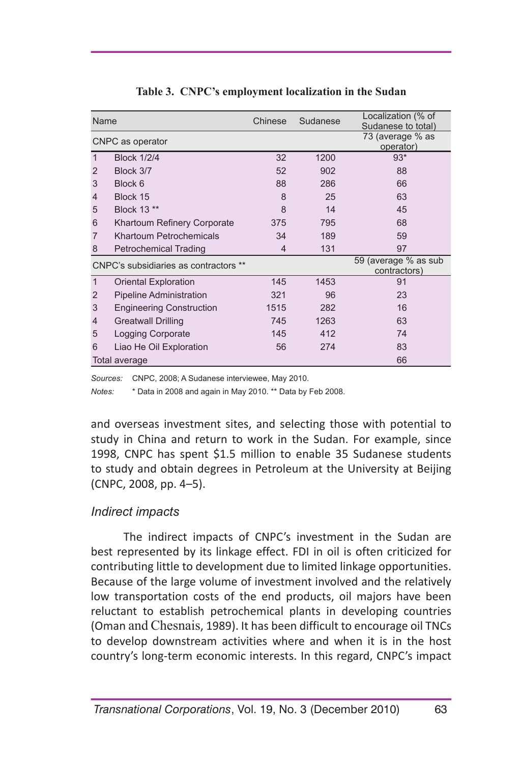| Name           |                                       | Chinese        | Sudanese | Localization (% of<br>Sudanese to total) |  |  |
|----------------|---------------------------------------|----------------|----------|------------------------------------------|--|--|
|                | CNPC as operator                      |                |          | 73 (average % as<br>operator)            |  |  |
| $\mathbf{1}$   | <b>Block 1/2/4</b>                    | 32             | 1200     | $93*$                                    |  |  |
| 2              | Block 3/7                             | 52             | 902      | 88                                       |  |  |
| 3              | Block 6                               | 88             | 286      | 66                                       |  |  |
| $\overline{4}$ | Block 15                              | 8              | 25       | 63                                       |  |  |
| 5              | Block 13 **                           | 8              | 14       | 45                                       |  |  |
| 6              | Khartoum Refinery Corporate           | 375            | 795      | 68                                       |  |  |
| $\overline{7}$ | Khartoum Petrochemicals               | 34             | 189      | 59                                       |  |  |
| 8              | <b>Petrochemical Trading</b>          | $\overline{4}$ | 131      | 97                                       |  |  |
|                | CNPC's subsidiaries as contractors ** |                |          | 59 (average % as sub<br>contractors)     |  |  |
| $\mathbf{1}$   | Oriental Exploration                  | 145            | 1453     | 91                                       |  |  |
| 2              | <b>Pipeline Administration</b>        | 321            | 96       | 23                                       |  |  |
| 3              | <b>Engineering Construction</b>       | 1515           | 282      | 16                                       |  |  |
| 4              | <b>Greatwall Drilling</b>             | 745            | 1263     | 63                                       |  |  |
| 5              | Logging Corporate                     | 145            | 412      | 74                                       |  |  |
| 6              | Liao He Oil Exploration               | 56             | 274      | 83                                       |  |  |
|                | Total average                         |                |          | 66                                       |  |  |

**Table 3. CNPC's employment localization in the Sudan** 

*Sources:* CNPC, 2008; A Sudanese interviewee, May 2010.

*Notes:* \* Data in 2008 and again in May 2010. \*\* Data by Feb 2008.

and overseas investment sites, and selecting those with potential to study in China and return to work in the Sudan. For example, since 1998, CNPC has spent \$1.5 million to enable 35 Sudanese students to study and obtain degrees in Petroleum at the University at Beijing (CNPC, 2008, pp. 4–5).

#### *Indirect impacts*

The indirect impacts of CNPC's investment in the Sudan are best represented by its linkage effect. FDI in oil is often criticized for contributing little to development due to limited linkage opportunities. Because of the large volume of investment involved and the relatively low transportation costs of the end products, oil majors have been reluctant to establish petrochemical plants in developing countries (Oman and Chesnais, 1989). It has been difficult to encourage oil TNCs to develop downstream activities where and when it is in the host country's long-term economic interests. In this regard, CNPC's impact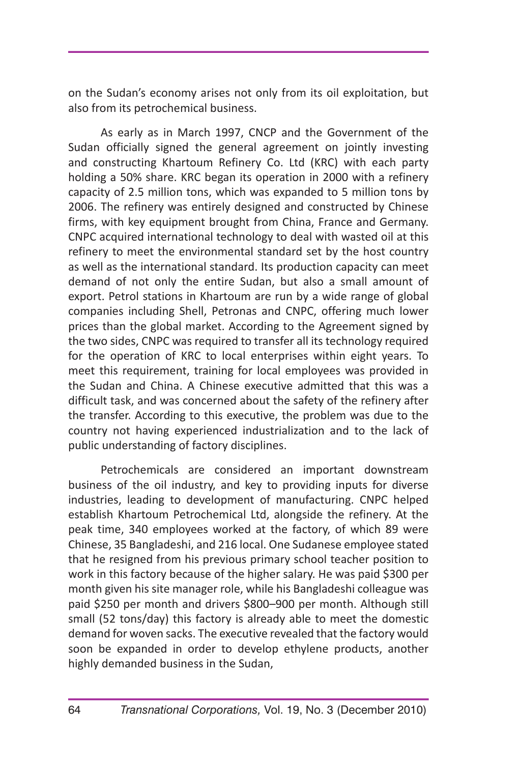on the Sudan's economy arises not only from its oil exploitation, but also from its petrochemical business.

As early as in March 1997, CNCP and the Government of the Sudan officially signed the general agreement on jointly investing and constructing Khartoum Refinery Co. Ltd (KRC) with each party holding a 50% share. KRC began its operation in 2000 with a refinery capacity of 2.5 million tons, which was expanded to 5 million tons by 2006. The refinery was entirely designed and constructed by Chinese firms, with key equipment brought from China, France and Germany. CNPC acquired international technology to deal with wasted oil at this refinery to meet the environmental standard set by the host country as well as the international standard. Its production capacity can meet demand of not only the entire Sudan, but also a small amount of export. Petrol stations in Khartoum are run by a wide range of global companies including Shell, Petronas and CNPC, offering much lower prices than the global market. According to the Agreement signed by the two sides, CNPC was required to transfer all its technology required for the operation of KRC to local enterprises within eight years. To meet this requirement, training for local employees was provided in the Sudan and China. A Chinese executive admitted that this was a difficult task, and was concerned about the safety of the refinery after the transfer. According to this executive, the problem was due to the country not having experienced industrialization and to the lack of public understanding of factory disciplines.

Petrochemicals are considered an important downstream business of the oil industry, and key to providing inputs for diverse industries, leading to development of manufacturing. CNPC helped establish Khartoum Petrochemical Ltd, alongside the refinery. At the peak time, 340 employees worked at the factory, of which 89 were Chinese, 35 Bangladeshi, and 216 local. One Sudanese employee stated that he resigned from his previous primary school teacher position to work in this factory because of the higher salary. He was paid \$300 per month given his site manager role, while his Bangladeshi colleague was paid \$250 per month and drivers \$800–900 per month. Although still small (52 tons/day) this factory is already able to meet the domestic demand for woven sacks. The executive revealed that the factory would soon be expanded in order to develop ethylene products, another highly demanded business in the Sudan,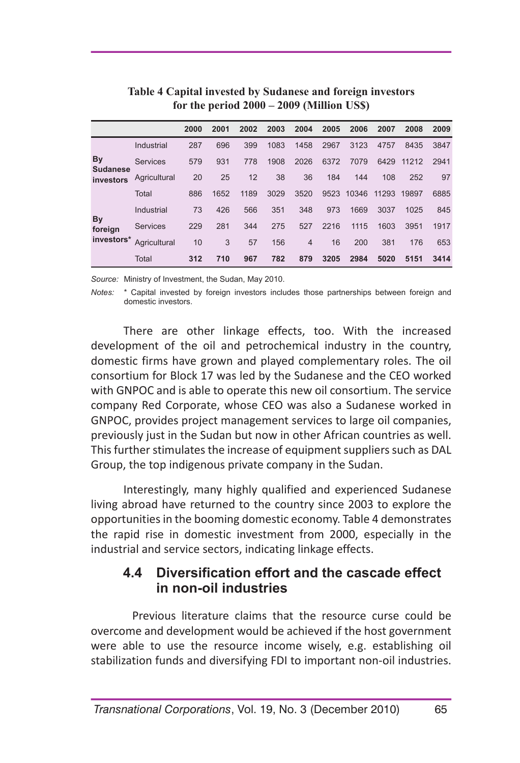|                              |                 | 2000 | 2001 | 2002 | 2003 | 2004           | 2005 | 2006  | 2007  | 2008  | 2009 |
|------------------------------|-----------------|------|------|------|------|----------------|------|-------|-------|-------|------|
|                              | Industrial      | 287  | 696  | 399  | 1083 | 1458           | 2967 | 3123  | 4757  | 8435  | 3847 |
| By                           | <b>Services</b> | 579  | 931  | 778  | 1908 | 2026           | 6372 | 7079  | 6429  | 11212 | 2941 |
| <b>Sudanese</b><br>investors | Agricultural    | 20   | 25   | 12   | 38   | 36             | 184  | 144   | 108   | 252   | 97   |
|                              | Total           | 886  | 1652 | 1189 | 3029 | 3520           | 9523 | 10346 | 11293 | 19897 | 6885 |
|                              | Industrial      | 73   | 426  | 566  | 351  | 348            | 973  | 1669  | 3037  | 1025  | 845  |
| By<br>foreign                | <b>Services</b> | 229  | 281  | 344  | 275  | 527            | 2216 | 1115  | 1603  | 3951  | 1917 |
| investors*                   | Agricultural    | 10   | 3    | 57   | 156  | $\overline{4}$ | 16   | 200   | 381   | 176   | 653  |
|                              | Total           | 312  | 710  | 967  | 782  | 879            | 3205 | 2984  | 5020  | 5151  | 3414 |

**Table 4 Capital invested by Sudanese and foreign investors for the period 2000 – 2009 (Million US\$)**

*Source:* Ministry of Investment, the Sudan, May 2010.

*Notes:* \* Capital invested by foreign investors includes those partnerships between foreign and domestic investors.

There are other linkage effects, too. With the increased development of the oil and petrochemical industry in the country, domestic firms have grown and played complementary roles. The oil consortium for Block 17 was led by the Sudanese and the CEO worked with GNPOC and is able to operate this new oil consortium. The service company Red Corporate, whose CEO was also a Sudanese worked in GNPOC, provides project management services to large oil companies, previously just in the Sudan but now in other African countries as well. This further stimulates the increase of equipment suppliers such as DAL Group, the top indigenous private company in the Sudan.

Interestingly, many highly qualified and experienced Sudanese living abroad have returned to the country since 2003 to explore the opportunities in the booming domestic economy. Table 4 demonstrates the rapid rise in domestic investment from 2000, especially in the industrial and service sectors, indicating linkage effects.

#### **4.4 Diversification effort and the cascade effect in non-oil industries**

Previous literature claims that the resource curse could be overcome and development would be achieved if the host government were able to use the resource income wisely, e.g. establishing oil stabilization funds and diversifying FDI to important non-oil industries.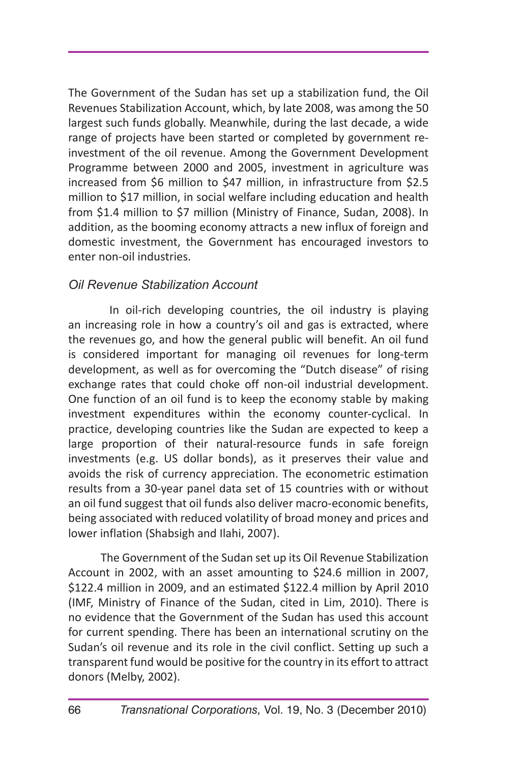The Government of the Sudan has set up a stabilization fund, the Oil Revenues Stabilization Account, which, by late 2008, was among the 50 largest such funds globally. Meanwhile, during the last decade, a wide range of projects have been started or completed by government reinvestment of the oil revenue. Among the Government Development Programme between 2000 and 2005, investment in agriculture was increased from \$6 million to \$47 million, in infrastructure from \$2.5 million to \$17 million, in social welfare including education and health from \$1.4 million to \$7 million (Ministry of Finance, Sudan, 2008). In addition, as the booming economy attracts a new influx of foreign and domestic investment, the Government has encouraged investors to enter non-oil industries.

#### *Oil Revenue Stabilization Account*

In oil-rich developing countries, the oil industry is playing an increasing role in how a country's oil and gas is extracted, where the revenues go, and how the general public will benefit. An oil fund is considered important for managing oil revenues for long-term development, as well as for overcoming the "Dutch disease" of rising exchange rates that could choke off non-oil industrial development. One function of an oil fund is to keep the economy stable by making investment expenditures within the economy counter-cyclical. In practice, developing countries like the Sudan are expected to keep a large proportion of their natural-resource funds in safe foreign investments (e.g. US dollar bonds), as it preserves their value and avoids the risk of currency appreciation. The econometric estimation results from a 30-year panel data set of 15 countries with or without an oil fund suggest that oil funds also deliver macro-economic benefits, being associated with reduced volatility of broad money and prices and lower inflation (Shabsigh and Ilahi, 2007).

The Government of the Sudan set up its Oil Revenue Stabilization Account in 2002, with an asset amounting to \$24.6 million in 2007, \$122.4 million in 2009, and an estimated \$122.4 million by April 2010 (IMF, Ministry of Finance of the Sudan, cited in Lim, 2010). There is no evidence that the Government of the Sudan has used this account for current spending. There has been an international scrutiny on the Sudan's oil revenue and its role in the civil conflict. Setting up such a transparent fund would be positive for the country in its effort to attract donors (Melby, 2002).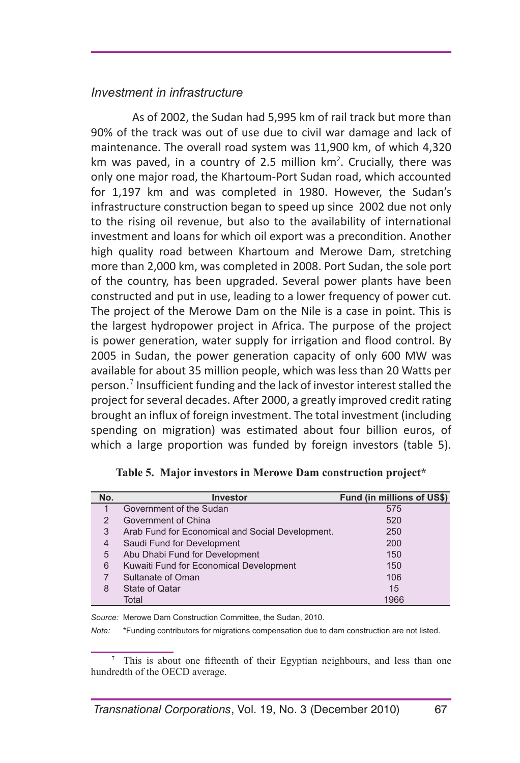#### *Investment in infrastructure*

As of 2002, the Sudan had 5,995 km of rail track but more than 90% of the track was out of use due to civil war damage and lack of maintenance. The overall road system was 11,900 km, of which 4,320 km was paved, in a country of 2.5 million  $km^2$ . Crucially, there was only one major road, the Khartoum-Port Sudan road, which accounted for 1,197 km and was completed in 1980. However, the Sudan's infrastructure construction began to speed up since 2002 due not only to the rising oil revenue, but also to the availability of international investment and loans for which oil export was a precondition. Another high quality road between Khartoum and Merowe Dam, stretching more than 2,000 km, was completed in 2008. Port Sudan, the sole port of the country, has been upgraded. Several power plants have been constructed and put in use, leading to a lower frequency of power cut. The project of the Merowe Dam on the Nile is a case in point. This is the largest hydropower project in Africa. The purpose of the project is power generation, water supply for irrigation and flood control. By 2005 in Sudan, the power generation capacity of only 600 MW was available for about 35 million people, which was less than 20 Watts per person.<sup>7</sup> Insufficient funding and the lack of investor interest stalled the project for several decades. After 2000, a greatly improved credit rating brought an influx of foreign investment. The total investment (including spending on migration) was estimated about four billion euros, of which a large proportion was funded by foreign investors (table 5).

| No.            | <b>Investor</b>                                  | Fund (in millions of US\$) |
|----------------|--------------------------------------------------|----------------------------|
|                | Government of the Sudan                          | 575                        |
| 2              | Government of China                              | 520                        |
| 3              | Arab Fund for Economical and Social Development. | 250                        |
| $\overline{4}$ | Saudi Fund for Development                       | 200                        |
| 5              | Abu Dhabi Fund for Development                   | 150                        |
| 6              | Kuwaiti Fund for Economical Development          | 150                        |
|                | Sultanate of Oman                                | 106                        |
| 8              | <b>State of Qatar</b>                            | 15                         |
|                | Total                                            | 1966                       |

**Table 5. Major investors in Merowe Dam construction project\***

*Source:* Merowe Dam Construction Committee, the Sudan, 2010.

*Note:* \*Funding contributors for migrations compensation due to dam construction are not listed.

<sup>7</sup> This is about one fifteenth of their Egyptian neighbours, and less than one hundredth of the OECD average.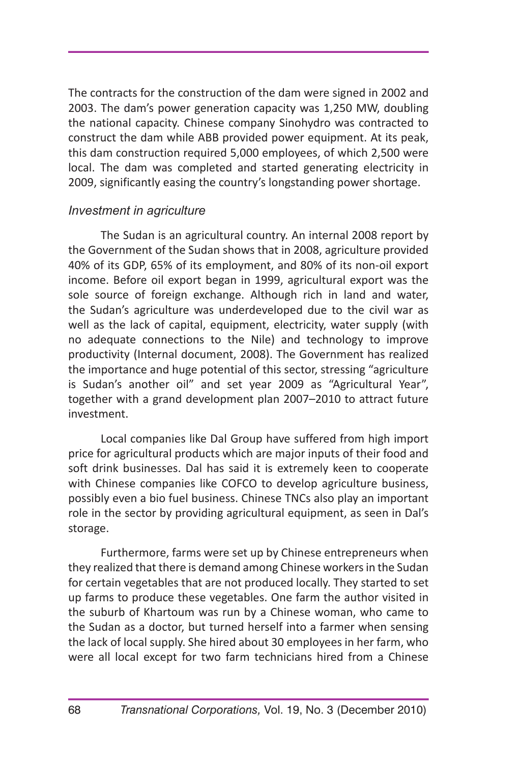The contracts for the construction of the dam were signed in 2002 and 2003. The dam's power generation capacity was 1,250 MW, doubling the national capacity. Chinese company Sinohydro was contracted to construct the dam while ABB provided power equipment. At its peak, this dam construction required 5,000 employees, of which 2,500 were local. The dam was completed and started generating electricity in 2009, significantly easing the country's longstanding power shortage.

#### *Investment in agriculture*

The Sudan is an agricultural country. An internal 2008 report by the Government of the Sudan shows that in 2008, agriculture provided 40% of its GDP, 65% of its employment, and 80% of its non-oil export income. Before oil export began in 1999, agricultural export was the sole source of foreign exchange. Although rich in land and water, the Sudan's agriculture was underdeveloped due to the civil war as well as the lack of capital, equipment, electricity, water supply (with no adequate connections to the Nile) and technology to improve productivity (Internal document, 2008). The Government has realized the importance and huge potential of this sector, stressing "agriculture is Sudan's another oil" and set year 2009 as "Agricultural Year", together with a grand development plan 2007–2010 to attract future investment.

Local companies like Dal Group have suffered from high import price for agricultural products which are major inputs of their food and soft drink businesses. Dal has said it is extremely keen to cooperate with Chinese companies like COFCO to develop agriculture business, possibly even a bio fuel business. Chinese TNCs also play an important role in the sector by providing agricultural equipment, as seen in Dal's storage.

Furthermore, farms were set up by Chinese entrepreneurs when they realized that there is demand among Chinese workers in the Sudan for certain vegetables that are not produced locally. They started to set up farms to produce these vegetables. One farm the author visited in the suburb of Khartoum was run by a Chinese woman, who came to the Sudan as a doctor, but turned herself into a farmer when sensing the lack of local supply. She hired about 30 employees in her farm, who were all local except for two farm technicians hired from a Chinese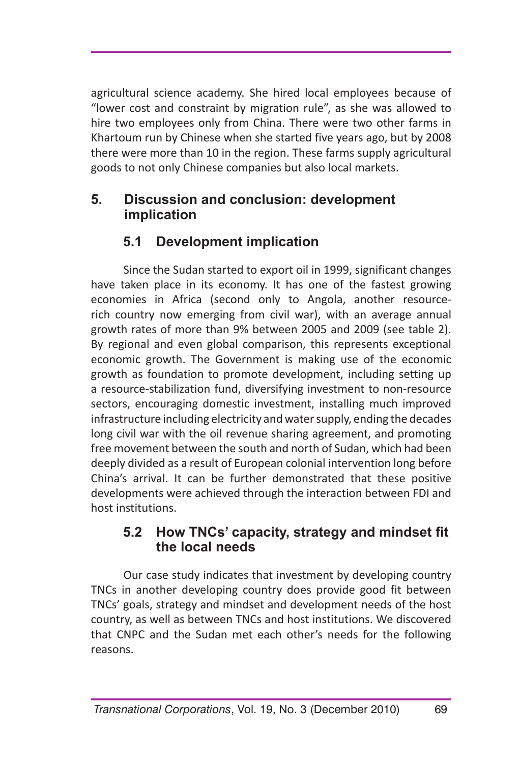agricultural science academy. She hired local employees because of "lower cost and constraint by migration rule", as she was allowed to hire two employees only from China. There were two other farms in Khartoum run by Chinese when she started five years ago, but by 2008 there were more than 10 in the region. These farms supply agricultural goods to not only Chinese companies but also local markets.

## **5. Discussion and conclusion: development implication**

## **5.1 Development implication**

Since the Sudan started to export oil in 1999, significant changes have taken place in its economy. It has one of the fastest growing economies in Africa (second only to Angola, another resourcerich country now emerging from civil war), with an average annual growth rates of more than 9% between 2005 and 2009 (see table 2). By regional and even global comparison, this represents exceptional economic growth. The Government is making use of the economic growth as foundation to promote development, including setting up a resource-stabilization fund, diversifying investment to non-resource sectors, encouraging domestic investment, installing much improved infrastructure including electricity and water supply, ending the decades long civil war with the oil revenue sharing agreement, and promoting free movement between the south and north of Sudan, which had been deeply divided as a result of European colonial intervention long before China's arrival. It can be further demonstrated that these positive developments were achieved through the interaction between FDI and host institutions.

### **5.2 How TNCs' capacity, strategy and mindset fit the local needs**

Our case study indicates that investment by developing country TNCs in another developing country does provide good fit between TNCs' goals, strategy and mindset and development needs of the host country, as well as between TNCs and host institutions. We discovered that CNPC and the Sudan met each other's needs for the following reasons.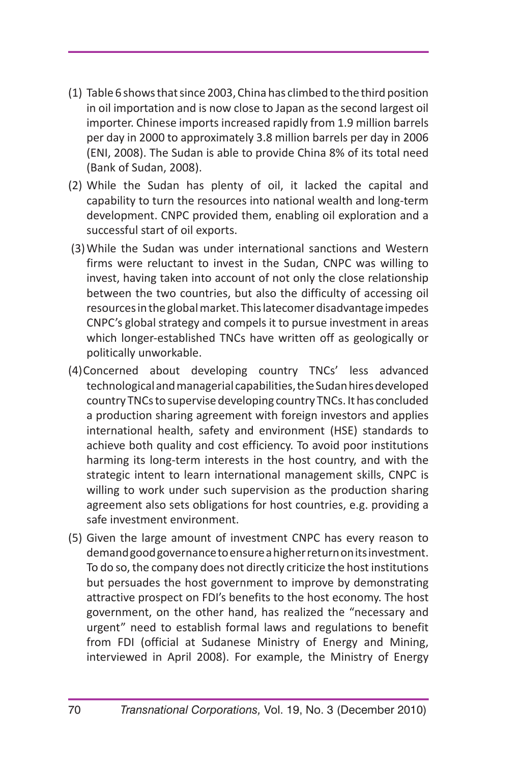- (1) Table 6 shows that since 2003, China has climbed to the third position in oil importation and is now close to Japan as the second largest oil importer. Chinese imports increased rapidly from 1.9 million barrels per day in 2000 to approximately 3.8 million barrels per day in 2006 (ENI, 2008). The Sudan is able to provide China 8% of its total need (Bank of Sudan, 2008).
- (2) While the Sudan has plenty of oil, it lacked the capital and capability to turn the resources into national wealth and long-term development. CNPC provided them, enabling oil exploration and a successful start of oil exports.
- (3)While the Sudan was under international sanctions and Western firms were reluctant to invest in the Sudan, CNPC was willing to invest, having taken into account of not only the close relationship between the two countries, but also the difficulty of accessing oil resources in the global market. This latecomer disadvantage impedes CNPC's global strategy and compels it to pursue investment in areas which longer-established TNCs have written off as geologically or politically unworkable.
- (4)Concerned about developing country TNCs' less advanced technological and managerial capabilities, the Sudan hires developed country TNCs to supervise developing country TNCs. It has concluded a production sharing agreement with foreign investors and applies international health, safety and environment (HSE) standards to achieve both quality and cost efficiency. To avoid poor institutions harming its long-term interests in the host country, and with the strategic intent to learn international management skills, CNPC is willing to work under such supervision as the production sharing agreement also sets obligations for host countries, e.g. providing a safe investment environment.
- (5) Given the large amount of investment CNPC has every reason to demand good governance to ensure a higher return on its investment. To do so, the company does not directly criticize the host institutions but persuades the host government to improve by demonstrating attractive prospect on FDI's benefits to the host economy. The host government, on the other hand, has realized the "necessary and urgent" need to establish formal laws and regulations to benefit from FDI (official at Sudanese Ministry of Energy and Mining, interviewed in April 2008). For example, the Ministry of Energy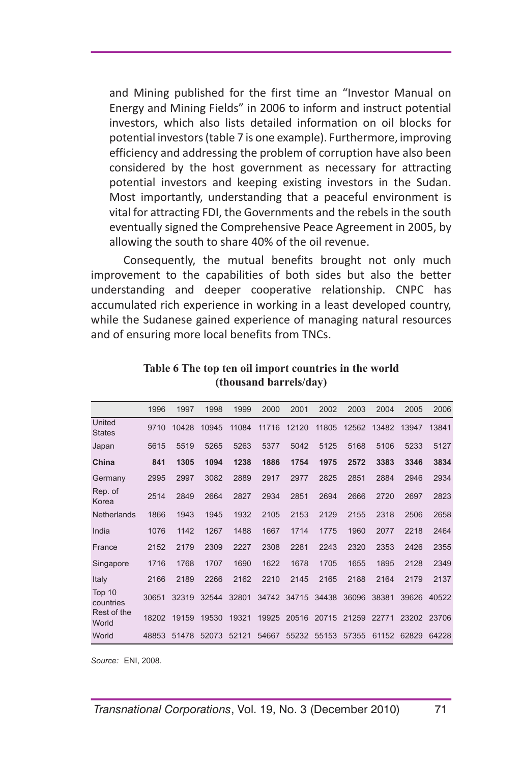and Mining published for the first time an "Investor Manual on Energy and Mining Fields" in 2006 to inform and instruct potential investors, which also lists detailed information on oil blocks for potential investors (table 7 is one example). Furthermore, improving efficiency and addressing the problem of corruption have also been considered by the host government as necessary for attracting potential investors and keeping existing investors in the Sudan. Most importantly, understanding that a peaceful environment is vital for attracting FDI, the Governments and the rebels in the south eventually signed the Comprehensive Peace Agreement in 2005, by allowing the south to share 40% of the oil revenue.

Consequently, the mutual benefits brought not only much improvement to the capabilities of both sides but also the better understanding and deeper cooperative relationship. CNPC has accumulated rich experience in working in a least developed country, while the Sudanese gained experience of managing natural resources and of ensuring more local benefits from TNCs.

|                         | 1996  | 1997  | 1998  | 1999  | 2000  | 2001  | 2002  | 2003  | 2004  | 2005  | 2006  |
|-------------------------|-------|-------|-------|-------|-------|-------|-------|-------|-------|-------|-------|
| United<br><b>States</b> | 9710  | 10428 | 10945 | 11084 | 11716 | 12120 | 11805 | 12562 | 13482 | 13947 | 13841 |
| Japan                   | 5615  | 5519  | 5265  | 5263  | 5377  | 5042  | 5125  | 5168  | 5106  | 5233  | 5127  |
| China                   | 841   | 1305  | 1094  | 1238  | 1886  | 1754  | 1975  | 2572  | 3383  | 3346  | 3834  |
| Germany                 | 2995  | 2997  | 3082  | 2889  | 2917  | 2977  | 2825  | 2851  | 2884  | 2946  | 2934  |
| Rep. of<br>Korea        | 2514  | 2849  | 2664  | 2827  | 2934  | 2851  | 2694  | 2666  | 2720  | 2697  | 2823  |
| <b>Netherlands</b>      | 1866  | 1943  | 1945  | 1932  | 2105  | 2153  | 2129  | 2155  | 2318  | 2506  | 2658  |
| India                   | 1076  | 1142  | 1267  | 1488  | 1667  | 1714  | 1775  | 1960  | 2077  | 2218  | 2464  |
| France                  | 2152  | 2179  | 2309  | 2227  | 2308  | 2281  | 2243  | 2320  | 2353  | 2426  | 2355  |
| Singapore               | 1716  | 1768  | 1707  | 1690  | 1622  | 1678  | 1705  | 1655  | 1895  | 2128  | 2349  |
| Italy                   | 2166  | 2189  | 2266  | 2162  | 2210  | 2145  | 2165  | 2188  | 2164  | 2179  | 2137  |
| Top 10<br>countries     | 30651 | 32319 | 32544 | 32801 | 34742 | 34715 | 34438 | 36096 | 38381 | 39626 | 40522 |
| Rest of the<br>World    | 18202 | 19159 | 19530 | 19321 | 19925 | 20516 | 20715 | 21259 | 22771 | 23202 | 23706 |
| World                   | 48853 | 51478 | 52073 | 52121 | 54667 | 55232 | 55153 | 57355 | 61152 | 62829 | 64228 |

**Table 6 The top ten oil import countries in the world (thousand barrels/day)**

*Source:* ENI, 2008.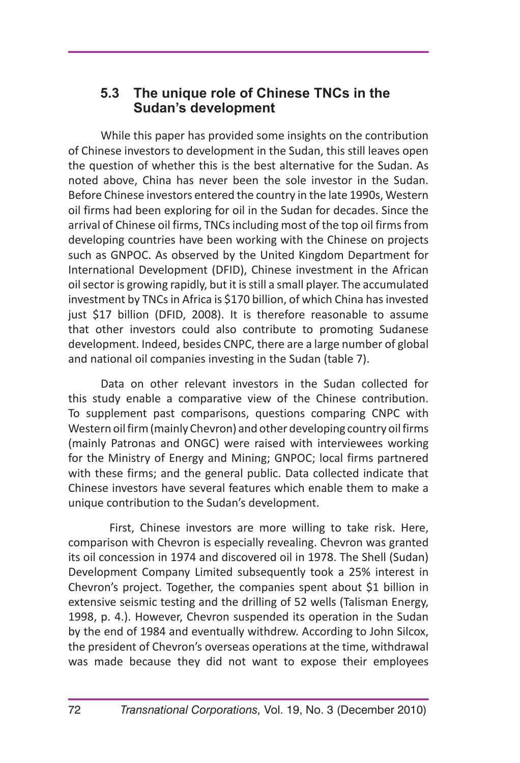### **5.3 The unique role of Chinese TNCs in the Sudan's development**

While this paper has provided some insights on the contribution of Chinese investors to development in the Sudan, this still leaves open the question of whether this is the best alternative for the Sudan. As noted above, China has never been the sole investor in the Sudan. Before Chinese investors entered the country in the late 1990s, Western oil firms had been exploring for oil in the Sudan for decades. Since the arrival of Chinese oil firms, TNCs including most of the top oil firms from developing countries have been working with the Chinese on projects such as GNPOC. As observed by the United Kingdom Department for International Development (DFID), Chinese investment in the African oil sector is growing rapidly, but it is still a small player. The accumulated investment by TNCs in Africa is \$170 billion, of which China has invested just \$17 billion (DFID, 2008). It is therefore reasonable to assume that other investors could also contribute to promoting Sudanese development. Indeed, besides CNPC, there are a large number of global and national oil companies investing in the Sudan (table 7).

Data on other relevant investors in the Sudan collected for this study enable a comparative view of the Chinese contribution. To supplement past comparisons, questions comparing CNPC with Western oil firm (mainly Chevron) and other developing country oil firms (mainly Patronas and ONGC) were raised with interviewees working for the Ministry of Energy and Mining; GNPOC; local firms partnered with these firms; and the general public. Data collected indicate that Chinese investors have several features which enable them to make a unique contribution to the Sudan's development.

First, Chinese investors are more willing to take risk. Here, comparison with Chevron is especially revealing. Chevron was granted its oil concession in 1974 and discovered oil in 1978. The Shell (Sudan) Development Company Limited subsequently took a 25% interest in Chevron's project. Together, the companies spent about \$1 billion in extensive seismic testing and the drilling of 52 wells (Talisman Energy, 1998, p. 4.). However, Chevron suspended its operation in the Sudan by the end of 1984 and eventually withdrew. According to John Silcox, the president of Chevron's overseas operations at the time, withdrawal was made because they did not want to expose their employees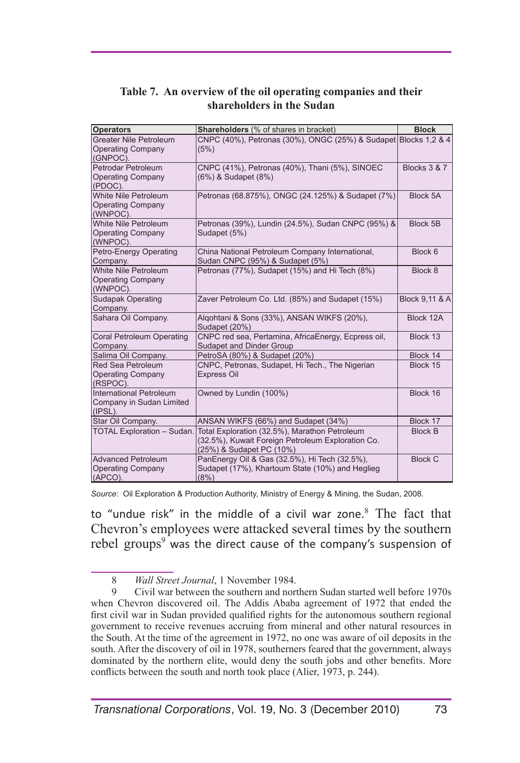| <b>Operators</b>                             | <b>Shareholders</b> (% of shares in bracket)                                           | <b>Block</b>   |
|----------------------------------------------|----------------------------------------------------------------------------------------|----------------|
| Greater Nile Petroleum                       | CNPC (40%), Petronas (30%), ONGC (25%) & Sudapet Blocks 1,2 & 4                        |                |
| <b>Operating Company</b>                     | (5%)                                                                                   |                |
| (GNPOC).                                     |                                                                                        |                |
| <b>Petrodar Petroleum</b>                    | CNPC (41%), Petronas (40%), Thani (5%), SINOEC                                         | Blocks 3 & 7   |
| <b>Operating Company</b><br>(PDOC).          | (6%) & Sudapet (8%)                                                                    |                |
| White Nile Petroleum                         | Petronas (68.875%), ONGC (24.125%) & Sudapet (7%)                                      | Block 5A       |
| <b>Operating Company</b>                     |                                                                                        |                |
| (WNPOC).                                     |                                                                                        |                |
| White Nile Petroleum                         | Petronas (39%), Lundin (24.5%), Sudan CNPC (95%) &                                     | Block 5B       |
| <b>Operating Company</b>                     | Sudapet (5%)                                                                           |                |
| (WNPOC).                                     |                                                                                        |                |
| Petro-Energy Operating                       | China National Petroleum Company International,                                        | Block 6        |
| Company.<br>White Nile Petroleum             | Sudan CNPC (95%) & Sudapet (5%)<br>Petronas (77%), Sudapet (15%) and Hi Tech (8%)      | Block 8        |
| <b>Operating Company</b>                     |                                                                                        |                |
| (WNPOC).                                     |                                                                                        |                |
| <b>Sudapak Operating</b>                     | Zaver Petroleum Co. Ltd. (85%) and Sudapet (15%)                                       | Block 9,11 & A |
| Company.                                     |                                                                                        |                |
| Sahara Oil Company.                          | Algohtani & Sons (33%), ANSAN WIKFS (20%),                                             | Block 12A      |
|                                              | Sudapet (20%)                                                                          | Block 13       |
| <b>Coral Petroleum Operating</b><br>Company. | CNPC red sea, Pertamina, AfricaEnergy, Ecpress oil,<br><b>Sudapet and Dinder Group</b> |                |
| Salima Oil Company.                          | PetroSA (80%) & Sudapet (20%)                                                          | Block 14       |
| <b>Red Sea Petroleum</b>                     | CNPC, Petronas, Sudapet, Hi Tech., The Nigerian                                        | Block 15       |
| <b>Operating Company</b>                     | <b>Express Oil</b>                                                                     |                |
| (RSPOC).                                     |                                                                                        |                |
| International Petroleum                      | Owned by Lundin (100%)                                                                 | Block 16       |
| Company in Sudan Limited<br>(IPSL).          |                                                                                        |                |
| Star Oil Company.                            | ANSAN WIKFS (66%) and Sudapet (34%)                                                    | Block 17       |
| <b>TOTAL Exploration - Sudan.</b>            | Total Exploration (32.5%), Marathon Petroleum                                          | <b>Block B</b> |
|                                              | (32.5%), Kuwait Foreign Petroleum Exploration Co.                                      |                |
|                                              | (25%) & Sudapet PC (10%)                                                               |                |
| <b>Advanced Petroleum</b>                    | PanEnergy Oil & Gas (32.5%), Hi Tech (32.5%),                                          | <b>Block C</b> |
| <b>Operating Company</b>                     | Sudapet (17%), Khartoum State (10%) and Heglieg                                        |                |
| (APCO).                                      | (8%)                                                                                   |                |

#### **Table 7. An overview of the oil operating companies and their shareholders in the Sudan**

*Source*: Oil Exploration & Production Authority, Ministry of Energy & Mining, the Sudan, 2008.

to "undue risk" in the middle of a civil war zone.<sup>8</sup> The fact that Chevron's employees were attacked several times by the southern rebel groups<sup>9</sup> was the direct cause of the company's suspension of

<sup>8</sup> *Wall Street Journal*, 1 November 1984.

<sup>9</sup> Civil war between the southern and northern Sudan started well before 1970s when Chevron discovered oil. The Addis Ababa agreement of 1972 that ended the first civil war in Sudan provided qualified rights for the autonomous southern regional government to receive revenues accruing from mineral and other natural resources in the South. At the time of the agreement in 1972, no one was aware of oil deposits in the south. After the discovery of oil in 1978, southerners feared that the government, always dominated by the northern elite, would deny the south jobs and other benefits. More conflicts between the south and north took place (Alier, 1973, p. 244).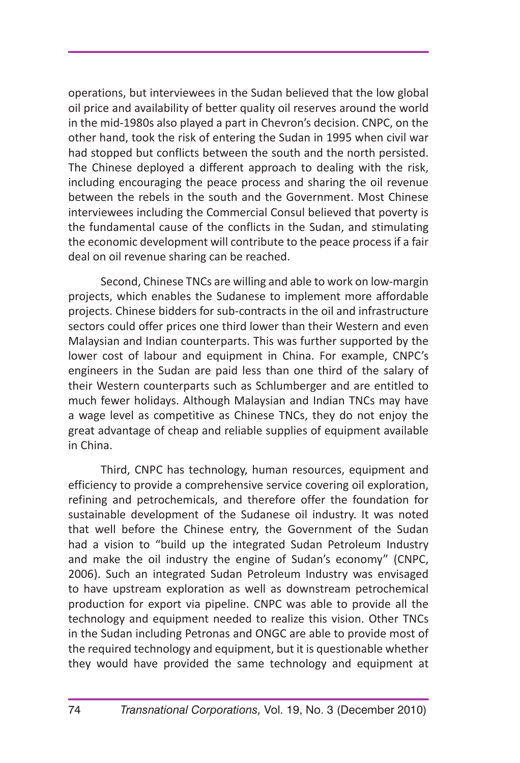operations, but interviewees in the Sudan believed that the low global oil price and availability of better quality oil reserves around the world in the mid-1980s also played a part in Chevron's decision. CNPC, on the other hand, took the risk of entering the Sudan in 1995 when civil war had stopped but conflicts between the south and the north persisted. The Chinese deployed a different approach to dealing with the risk, including encouraging the peace process and sharing the oil revenue between the rebels in the south and the Government. Most Chinese interviewees including the Commercial Consul believed that poverty is the fundamental cause of the conflicts in the Sudan, and stimulating the economic development will contribute to the peace process if a fair deal on oil revenue sharing can be reached.

Second, Chinese TNCs are willing and able to work on low-margin projects, which enables the Sudanese to implement more affordable projects. Chinese bidders for sub-contracts in the oil and infrastructure sectors could offer prices one third lower than their Western and even Malaysian and Indian counterparts. This was further supported by the lower cost of labour and equipment in China. For example, CNPC's engineers in the Sudan are paid less than one third of the salary of their Western counterparts such as Schlumberger and are entitled to much fewer holidays. Although Malaysian and Indian TNCs may have a wage level as competitive as Chinese TNCs, they do not enjoy the great advantage of cheap and reliable supplies of equipment available in China.

Third, CNPC has technology, human resources, equipment and efficiency to provide a comprehensive service covering oil exploration, refining and petrochemicals, and therefore offer the foundation for sustainable development of the Sudanese oil industry. It was noted that well before the Chinese entry, the Government of the Sudan had a vision to "build up the integrated Sudan Petroleum Industry and make the oil industry the engine of Sudan's economy" (CNPC, 2006). Such an integrated Sudan Petroleum Industry was envisaged to have upstream exploration as well as downstream petrochemical production for export via pipeline. CNPC was able to provide all the technology and equipment needed to realize this vision. Other TNCs in the Sudan including Petronas and ONGC are able to provide most of the required technology and equipment, but it is questionable whether they would have provided the same technology and equipment at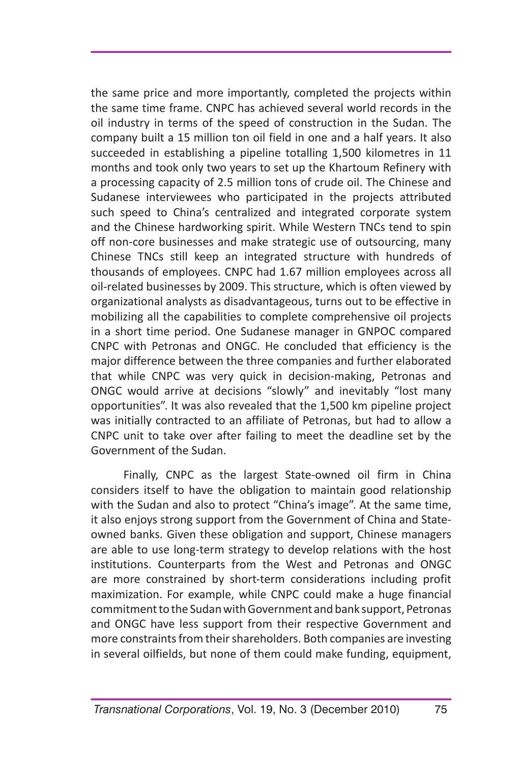the same price and more importantly, completed the projects within the same time frame. CNPC has achieved several world records in the oil industry in terms of the speed of construction in the Sudan. The company built a 15 million ton oil field in one and a half years. It also succeeded in establishing a pipeline totalling 1,500 kilometres in 11 months and took only two years to set up the Khartoum Refinery with a processing capacity of 2.5 million tons of crude oil. The Chinese and Sudanese interviewees who participated in the projects attributed such speed to China's centralized and integrated corporate system and the Chinese hardworking spirit. While Western TNCs tend to spin off non-core businesses and make strategic use of outsourcing, many Chinese TNCs still keep an integrated structure with hundreds of thousands of employees. CNPC had 1.67 million employees across all oil-related businesses by 2009. This structure, which is often viewed by organizational analysts as disadvantageous, turns out to be effective in mobilizing all the capabilities to complete comprehensive oil projects in a short time period. One Sudanese manager in GNPOC compared CNPC with Petronas and ONGC. He concluded that efficiency is the major difference between the three companies and further elaborated that while CNPC was very quick in decision-making, Petronas and ONGC would arrive at decisions "slowly" and inevitably "lost many opportunities". It was also revealed that the 1,500 km pipeline project was initially contracted to an affiliate of Petronas, but had to allow a CNPC unit to take over after failing to meet the deadline set by the Government of the Sudan.

Finally, CNPC as the largest State-owned oil firm in China considers itself to have the obligation to maintain good relationship with the Sudan and also to protect "China's image". At the same time, it also enjoys strong support from the Government of China and Stateowned banks. Given these obligation and support, Chinese managers are able to use long-term strategy to develop relations with the host institutions. Counterparts from the West and Petronas and ONGC are more constrained by short-term considerations including profit maximization. For example, while CNPC could make a huge financial commitment to the Sudan with Government and bank support, Petronas and ONGC have less support from their respective Government and more constraints from their shareholders. Both companies are investing in several oilfields, but none of them could make funding, equipment,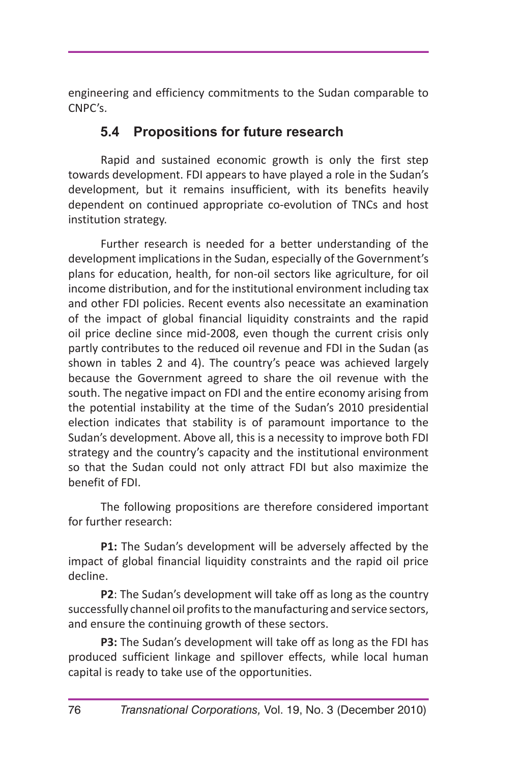engineering and efficiency commitments to the Sudan comparable to CNPC's.

## **5.4 Propositions for future research**

Rapid and sustained economic growth is only the first step towards development. FDI appears to have played a role in the Sudan's development, but it remains insufficient, with its benefits heavily dependent on continued appropriate co-evolution of TNCs and host institution strategy.

Further research is needed for a better understanding of the development implications in the Sudan, especially of the Government's plans for education, health, for non-oil sectors like agriculture, for oil income distribution, and for the institutional environment including tax and other FDI policies. Recent events also necessitate an examination of the impact of global financial liquidity constraints and the rapid oil price decline since mid-2008, even though the current crisis only partly contributes to the reduced oil revenue and FDI in the Sudan (as shown in tables 2 and 4). The country's peace was achieved largely because the Government agreed to share the oil revenue with the south. The negative impact on FDI and the entire economy arising from the potential instability at the time of the Sudan's 2010 presidential election indicates that stability is of paramount importance to the Sudan's development. Above all, this is a necessity to improve both FDI strategy and the country's capacity and the institutional environment so that the Sudan could not only attract FDI but also maximize the benefit of FDI.

The following propositions are therefore considered important for further research:

**P1:** The Sudan's development will be adversely affected by the impact of global financial liquidity constraints and the rapid oil price decline.

**P2**: The Sudan's development will take off as long as the country successfully channel oil profits to the manufacturing and service sectors, and ensure the continuing growth of these sectors.

**P3:** The Sudan's development will take off as long as the FDI has produced sufficient linkage and spillover effects, while local human capital is ready to take use of the opportunities.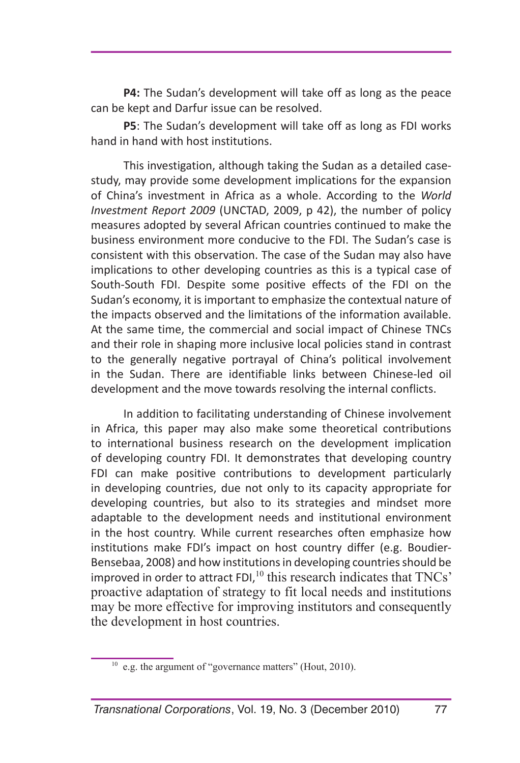**P4:** The Sudan's development will take off as long as the peace can be kept and Darfur issue can be resolved.

**P5**: The Sudan's development will take off as long as FDI works hand in hand with host institutions.

This investigation, although taking the Sudan as a detailed casestudy, may provide some development implications for the expansion of China's investment in Africa as a whole. According to the *World Investment Report 2009* (UNCTAD, 2009, p 42), the number of policy measures adopted by several African countries continued to make the business environment more conducive to the FDI. The Sudan's case is consistent with this observation. The case of the Sudan may also have implications to other developing countries as this is a typical case of South-South FDI. Despite some positive effects of the FDI on the Sudan's economy, it is important to emphasize the contextual nature of the impacts observed and the limitations of the information available. At the same time, the commercial and social impact of Chinese TNCs and their role in shaping more inclusive local policies stand in contrast to the generally negative portrayal of China's political involvement in the Sudan. There are identifiable links between Chinese-led oil development and the move towards resolving the internal conflicts.

In addition to facilitating understanding of Chinese involvement in Africa, this paper may also make some theoretical contributions to international business research on the development implication of developing country FDI. It demonstrates that developing country FDI can make positive contributions to development particularly in developing countries, due not only to its capacity appropriate for developing countries, but also to its strategies and mindset more adaptable to the development needs and institutional environment in the host country. While current researches often emphasize how institutions make FDI's impact on host country differ (e.g. Boudier-Bensebaa, 2008) and how institutions in developing countries should be improved in order to attract FDI,<sup>10</sup> this research indicates that TNCs' proactive adaptation of strategy to fit local needs and institutions may be more effective for improving institutors and consequently the development in host countries.

<sup>10</sup> e.g. the argument of "governance matters" (Hout, 2010).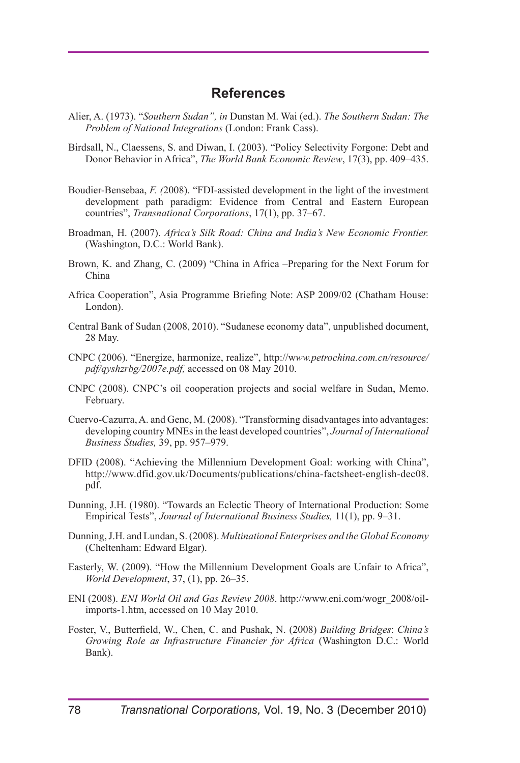#### **References**

- Alier, A. (1973). "*Southern Sudan", in* Dunstan M. Wai (ed.). *The Southern Sudan: The Problem of National Integrations* (London: Frank Cass).
- Birdsall, N., Claessens, S. and Diwan, I. (2003). "Policy Selectivity Forgone: Debt and Donor Behavior in Africa", *The World Bank Economic Review*, 17(3), pp. 409–435.
- Boudier-Bensebaa, *F. (*2008). "FDI-assisted development in the light of the investment development path paradigm: Evidence from Central and Eastern European countries", *Transnational Corporations*, 17(1), pp. 37–67.
- Broadman, H. (2007). *Africa's Silk Road: China and India's New Economic Frontier.* (Washington, D.C.: World Bank).
- Brown, K. and Zhang, C. (2009) "China in Africa –Preparing for the Next Forum for China
- Africa Cooperation", Asia Programme Briefing Note: ASP 2009/02 (Chatham House: London).
- Central Bank of Sudan (2008, 2010). "Sudanese economy data", unpublished document, 28 May.
- CNPC (2006). "Energize, harmonize, realize", http://w*ww.petrochina.com.cn/resource/ pdf/qyshzrbg/2007e.pdf,* accessed on 08 May 2010.
- CNPC (2008). CNPC's oil cooperation projects and social welfare in Sudan, Memo. February.
- Cuervo-Cazurra, A. and Genc, M. (2008). "Transforming disadvantages into advantages: developing country MNEs in the least developed countries", *Journal of International Business Studies,* 39, pp. 957–979.
- DFID (2008). "Achieving the Millennium Development Goal: working with China", http://www.dfid.gov.uk/Documents/publications/china-factsheet-english-dec08. pdf.
- Dunning, J.H. (1980). "Towards an Eclectic Theory of International Production: Some Empirical Tests", *Journal of International Business Studies,* 11(1), pp. 9–31.
- Dunning, J.H. and Lundan, S. (2008). *Multinational Enterprises and the Global Economy*  (Cheltenham: Edward Elgar).
- Easterly, W. (2009). "How the Millennium Development Goals are Unfair to Africa", *World Development*, 37, (1), pp. 26–35.
- ENI (2008). *ENI World Oil and Gas Review 2008*. http://www.eni.com/wogr\_2008/oilimports-1.htm, accessed on 10 May 2010.
- Foster, V., Butterfield, W., Chen, C. and Pushak, N. (2008) *Building Bridges*: *China's Growing Role as Infrastructure Financier for Africa* (Washington D.C.: World Bank).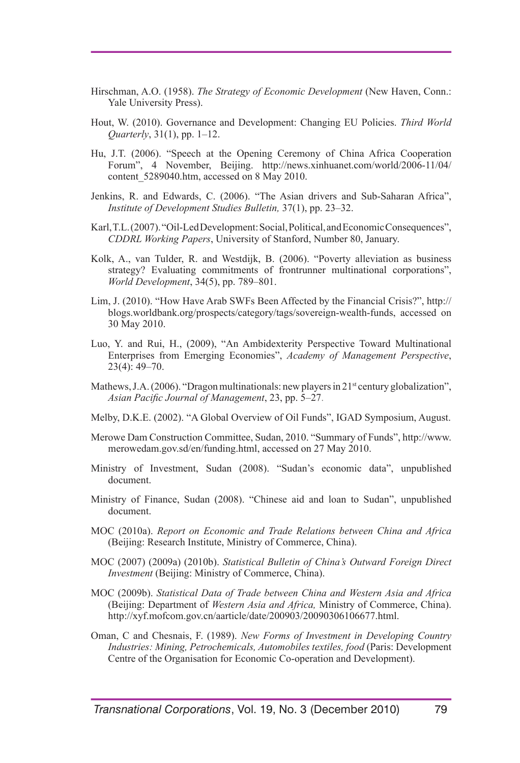- Hirschman, A.O. (1958). *The Strategy of Economic Development* (New Haven, Conn.: Yale University Press).
- Hout, W. (2010). Governance and Development: Changing EU Policies. *Third World Quarterly*, 31(1), pp. 1–12.
- Hu, J.T. (2006). "Speech at the Opening Ceremony of China Africa Cooperation Forum", 4 November, Beijing. http://news.xinhuanet.com/world/2006-11/04/ content 5289040.htm, accessed on 8 May 2010.
- Jenkins, R. and Edwards, C. (2006). "The Asian drivers and Sub-Saharan Africa", *Institute of Development Studies Bulletin,* 37(1), pp. 23–32.
- Karl, T.L. (2007). "Oil-Led Development: Social, Political, and Economic Consequences", *CDDRL Working Papers*, University of Stanford, Number 80, January.
- Kolk, A., van Tulder, R. and Westdijk, B. (2006). "Poverty alleviation as business strategy? Evaluating commitments of frontrunner multinational corporations", *World Development*, 34(5), pp. 789–801.
- Lim, J. (2010). "How Have Arab SWFs Been Affected by the Financial Crisis?", http:// blogs.worldbank.org/prospects/category/tags/sovereign-wealth-funds, accessed on 30 May 2010.
- Luo, Y. and Rui, H., (2009), "An Ambidexterity Perspective Toward Multinational Enterprises from Emerging Economies", *Academy of Management Perspective*, 23(4): 49–70.
- Mathews, J.A. (2006). "Dragon multinationals: new players in  $21<sup>st</sup>$  century globalization", *Asian Pacific Journal of Management*, 23, pp. 5–27.
- Melby, D.K.E. (2002). "A Global Overview of Oil Funds", IGAD Symposium, August.
- Merowe Dam Construction Committee, Sudan, 2010. "Summary of Funds", http://www. merowedam.gov.sd/en/funding.html, accessed on 27 May 2010.
- Ministry of Investment, Sudan (2008). "Sudan's economic data", unpublished document.
- Ministry of Finance, Sudan (2008). "Chinese aid and loan to Sudan", unpublished document.
- MOC (2010a). *Report on Economic and Trade Relations between China and Africa* (Beijing: Research Institute, Ministry of Commerce, China).
- MOC (2007) (2009a) (2010b). *Statistical Bulletin of China's Outward Foreign Direct Investment* (Beijing: Ministry of Commerce, China).
- MOC (2009b). *Statistical Data of Trade between China and Western Asia and Africa*  (Beijing: Department of *Western Asia and Africa,* Ministry of Commerce, China). http://xyf.mofcom.gov.cn/aarticle/date/200903/20090306106677.html.
- Oman, C and Chesnais, F. (1989). *New Forms of Investment in Developing Country Industries: Mining, Petrochemicals, Automobiles textiles, food* (Paris: Development Centre of the Organisation for Economic Co-operation and Development).